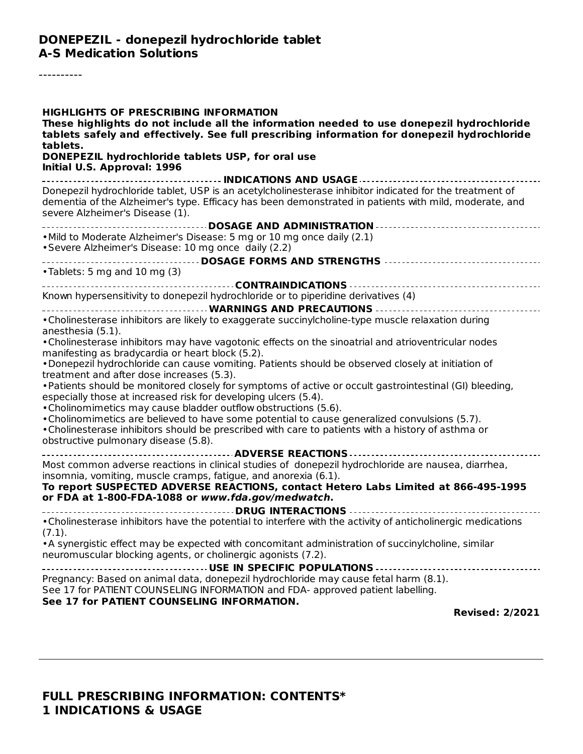#### **DONEPEZIL - donepezil hydrochloride tablet A-S Medication Solutions**

----------

| <b>HIGHLIGHTS OF PRESCRIBING INFORMATION</b><br>These highlights do not include all the information needed to use donepezil hydrochloride<br>tablets safely and effectively. See full prescribing information for donepezil hydrochloride<br>tablets.                              |
|------------------------------------------------------------------------------------------------------------------------------------------------------------------------------------------------------------------------------------------------------------------------------------|
| DONEPEZIL hydrochloride tablets USP, for oral use<br>Initial U.S. Approval: 1996                                                                                                                                                                                                   |
|                                                                                                                                                                                                                                                                                    |
| Donepezil hydrochloride tablet, USP is an acetylcholinesterase inhibitor indicated for the treatment of<br>dementia of the Alzheimer's type. Efficacy has been demonstrated in patients with mild, moderate, and<br>severe Alzheimer's Disease (1).                                |
| DOSAGE AND ADMINISTRATION<br>. Mild to Moderate Alzheimer's Disease: 5 mg or 10 mg once daily (2.1)<br>• Severe Alzheimer's Disease: 10 mg once daily (2.2)                                                                                                                        |
| •Tablets: 5 mg and 10 mg (3)                                                                                                                                                                                                                                                       |
| Known hypersensitivity to donepezil hydrochloride or to piperidine derivatives (4)                                                                                                                                                                                                 |
|                                                                                                                                                                                                                                                                                    |
| . Cholinesterase inhibitors are likely to exaggerate succinylcholine-type muscle relaxation during<br>anesthesia (5.1).<br>• Cholinesterase inhibitors may have vagotonic effects on the sinoatrial and atrioventricular nodes<br>manifesting as bradycardia or heart block (5.2). |
| . Donepezil hydrochloride can cause vomiting. Patients should be observed closely at initiation of<br>treatment and after dose increases (5.3).<br>. Patients should be monitored closely for symptoms of active or occult gastrointestinal (GI) bleeding,                         |
| especially those at increased risk for developing ulcers (5.4).<br>• Cholinomimetics may cause bladder outflow obstructions (5.6).<br>• Cholinomimetics are believed to have some potential to cause generalized convulsions (5.7).                                                |
| • Cholinesterase inhibitors should be prescribed with care to patients with a history of asthma or<br>obstructive pulmonary disease (5.8).                                                                                                                                         |
| Most common adverse reactions in clinical studies of donepezil hydrochloride are nausea, diarrhea,<br>insomnia, vomiting, muscle cramps, fatigue, and anorexia (6.1).                                                                                                              |
| To report SUSPECTED ADVERSE REACTIONS, contact Hetero Labs Limited at 866-495-1995<br>or FDA at 1-800-FDA-1088 or www.fda.gov/medwatch.                                                                                                                                            |
| . Cholinesterase inhibitors have the potential to interfere with the activity of anticholinergic medications<br>(7.1).                                                                                                                                                             |
| • A synergistic effect may be expected with concomitant administration of succinylcholine, similar<br>neuromuscular blocking agents, or cholinergic agonists (7.2).                                                                                                                |
| Pregnancy: Based on animal data, donepezil hydrochloride may cause fetal harm (8.1).<br>See 17 for PATIENT COUNSELING INFORMATION and FDA- approved patient labelling.<br>See 17 for PATIENT COUNSELING INFORMATION.                                                               |
| <b>Revised: 2/2021</b>                                                                                                                                                                                                                                                             |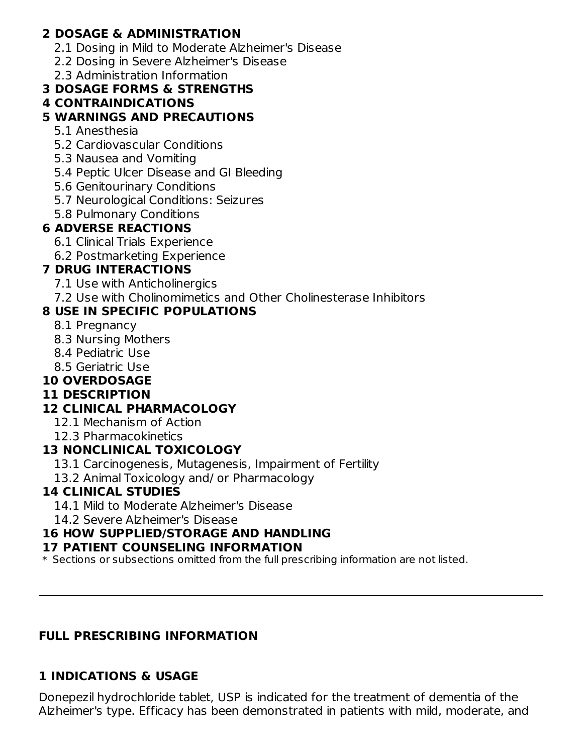## **2 DOSAGE & ADMINISTRATION**

- 2.1 Dosing in Mild to Moderate Alzheimer's Disease
- 2.2 Dosing in Severe Alzheimer's Disease
- 2.3 Administration Information

## **3 DOSAGE FORMS & STRENGTHS**

#### **4 CONTRAINDICATIONS**

#### **5 WARNINGS AND PRECAUTIONS**

- 5.1 Anesthesia
- 5.2 Cardiovascular Conditions
- 5.3 Nausea and Vomiting
- 5.4 Peptic Ulcer Disease and GI Bleeding
- 5.6 Genitourinary Conditions
- 5.7 Neurological Conditions: Seizures
- 5.8 Pulmonary Conditions

## **6 ADVERSE REACTIONS**

- 6.1 Clinical Trials Experience
- 6.2 Postmarketing Experience

## **7 DRUG INTERACTIONS**

- 7.1 Use with Anticholinergics
- 7.2 Use with Cholinomimetics and Other Cholinesterase Inhibitors

# **8 USE IN SPECIFIC POPULATIONS**

- 8.1 Pregnancy
- 8.3 Nursing Mothers
- 8.4 Pediatric Use
- 8.5 Geriatric Use

## **10 OVERDOSAGE**

## **11 DESCRIPTION**

# **12 CLINICAL PHARMACOLOGY**

- 12.1 Mechanism of Action
- 12.3 Pharmacokinetics

## **13 NONCLINICAL TOXICOLOGY**

- 13.1 Carcinogenesis, Mutagenesis, Impairment of Fertility
- 13.2 Animal Toxicology and/ or Pharmacology

## **14 CLINICAL STUDIES**

- 14.1 Mild to Moderate Alzheimer's Disease
- 14.2 Severe Alzheimer's Disease

# **16 HOW SUPPLIED/STORAGE AND HANDLING**

#### **17 PATIENT COUNSELING INFORMATION**

\* Sections or subsections omitted from the full prescribing information are not listed.

## **FULL PRESCRIBING INFORMATION**

## **1 INDICATIONS & USAGE**

Donepezil hydrochloride tablet, USP is indicated for the treatment of dementia of the Alzheimer's type. Efficacy has been demonstrated in patients with mild, moderate, and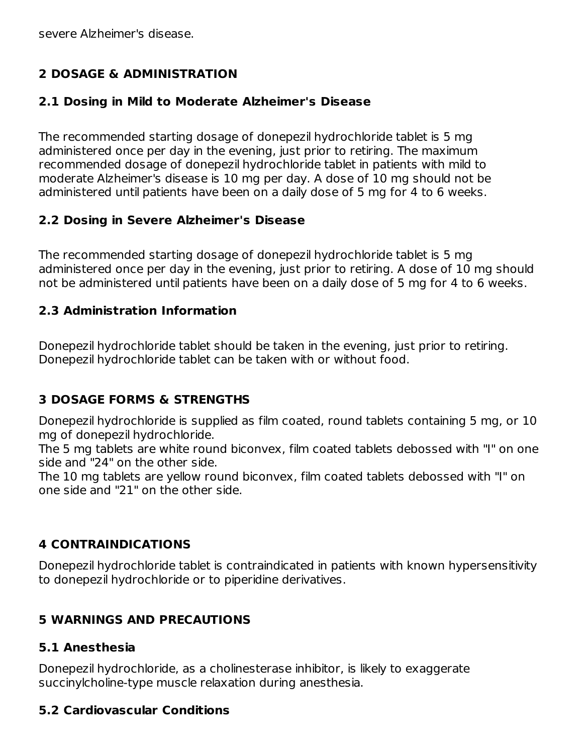severe Alzheimer's disease.

## **2 DOSAGE & ADMINISTRATION**

#### **2.1 Dosing in Mild to Moderate Alzheimer's Disease**

The recommended starting dosage of donepezil hydrochloride tablet is 5 mg administered once per day in the evening, just prior to retiring. The maximum recommended dosage of donepezil hydrochloride tablet in patients with mild to moderate Alzheimer's disease is 10 mg per day. A dose of 10 mg should not be administered until patients have been on a daily dose of 5 mg for 4 to 6 weeks.

#### **2.2 Dosing in Severe Alzheimer's Disease**

The recommended starting dosage of donepezil hydrochloride tablet is 5 mg administered once per day in the evening, just prior to retiring. A dose of 10 mg should not be administered until patients have been on a daily dose of 5 mg for 4 to 6 weeks.

#### **2.3 Administration Information**

Donepezil hydrochloride tablet should be taken in the evening, just prior to retiring. Donepezil hydrochloride tablet can be taken with or without food.

## **3 DOSAGE FORMS & STRENGTHS**

Donepezil hydrochloride is supplied as film coated, round tablets containing 5 mg, or 10 mg of donepezil hydrochloride.

The 5 mg tablets are white round biconvex, film coated tablets debossed with "I" on one side and "24" on the other side.

The 10 mg tablets are yellow round biconvex, film coated tablets debossed with "I" on one side and "21" on the other side.

## **4 CONTRAINDICATIONS**

Donepezil hydrochloride tablet is contraindicated in patients with known hypersensitivity to donepezil hydrochloride or to piperidine derivatives.

## **5 WARNINGS AND PRECAUTIONS**

#### **5.1 Anesthesia**

Donepezil hydrochloride, as a cholinesterase inhibitor, is likely to exaggerate succinylcholine-type muscle relaxation during anesthesia.

## **5.2 Cardiovascular Conditions**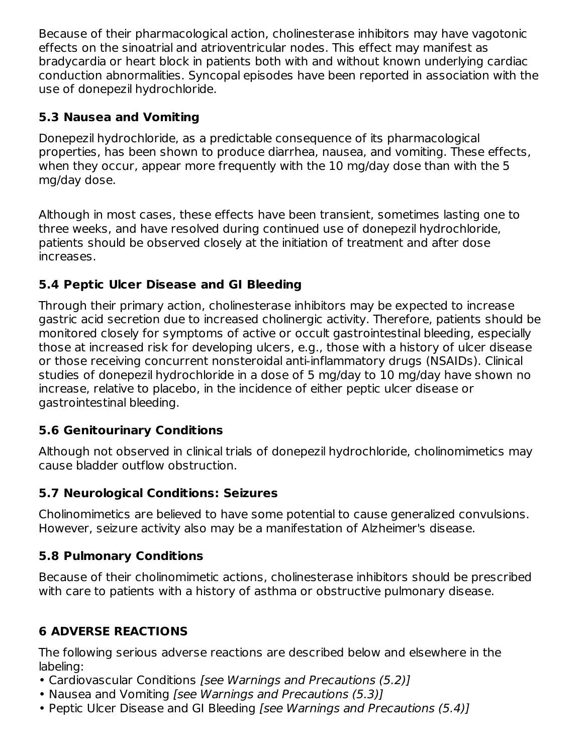Because of their pharmacological action, cholinesterase inhibitors may have vagotonic effects on the sinoatrial and atrioventricular nodes. This effect may manifest as bradycardia or heart block in patients both with and without known underlying cardiac conduction abnormalities. Syncopal episodes have been reported in association with the use of donepezil hydrochloride.

## **5.3 Nausea and Vomiting**

Donepezil hydrochloride, as a predictable consequence of its pharmacological properties, has been shown to produce diarrhea, nausea, and vomiting. These effects, when they occur, appear more frequently with the 10 mg/day dose than with the 5 mg/day dose.

Although in most cases, these effects have been transient, sometimes lasting one to three weeks, and have resolved during continued use of donepezil hydrochloride, patients should be observed closely at the initiation of treatment and after dose increases.

# **5.4 Peptic Ulcer Disease and GI Bleeding**

Through their primary action, cholinesterase inhibitors may be expected to increase gastric acid secretion due to increased cholinergic activity. Therefore, patients should be monitored closely for symptoms of active or occult gastrointestinal bleeding, especially those at increased risk for developing ulcers, e.g., those with a history of ulcer disease or those receiving concurrent nonsteroidal anti-inflammatory drugs (NSAIDs). Clinical studies of donepezil hydrochloride in a dose of 5 mg/day to 10 mg/day have shown no increase, relative to placebo, in the incidence of either peptic ulcer disease or gastrointestinal bleeding.

# **5.6 Genitourinary Conditions**

Although not observed in clinical trials of donepezil hydrochloride, cholinomimetics may cause bladder outflow obstruction.

# **5.7 Neurological Conditions: Seizures**

Cholinomimetics are believed to have some potential to cause generalized convulsions. However, seizure activity also may be a manifestation of Alzheimer's disease.

# **5.8 Pulmonary Conditions**

Because of their cholinomimetic actions, cholinesterase inhibitors should be prescribed with care to patients with a history of asthma or obstructive pulmonary disease.

# **6 ADVERSE REACTIONS**

The following serious adverse reactions are described below and elsewhere in the labeling:

- Cardiovascular Conditions [see Warnings and Precautions (5.2)]
- Nausea and Vomiting [see Warnings and Precautions (5.3)]
- Peptic Ulcer Disease and GI Bleeding [see Warnings and Precautions (5.4)]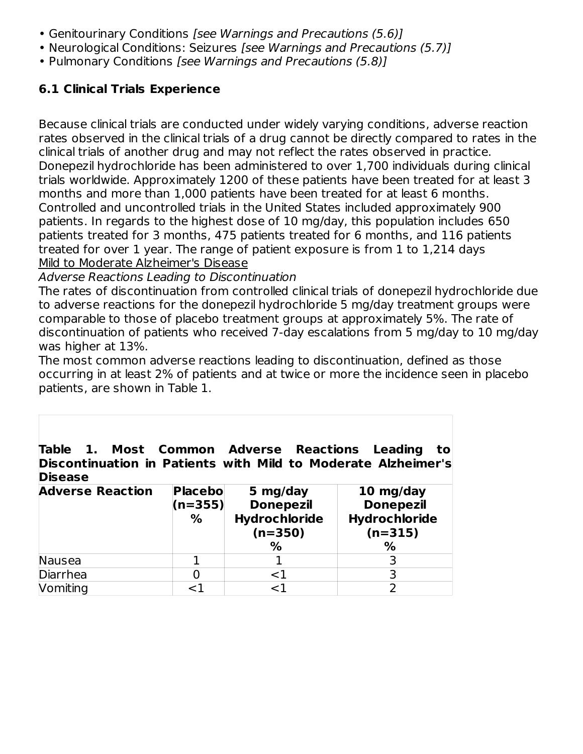- Genitourinary Conditions [see Warnings and Precautions (5.6)]
- Neurological Conditions: Seizures *[see Warnings and Precautions (5.7)]*
- Pulmonary Conditions [see Warnings and Precautions (5.8)]

#### **6.1 Clinical Trials Experience**

Because clinical trials are conducted under widely varying conditions, adverse reaction rates observed in the clinical trials of a drug cannot be directly compared to rates in the clinical trials of another drug and may not reflect the rates observed in practice. Donepezil hydrochloride has been administered to over 1,700 individuals during clinical trials worldwide. Approximately 1200 of these patients have been treated for at least 3 months and more than 1,000 patients have been treated for at least 6 months. Controlled and uncontrolled trials in the United States included approximately 900 patients. In regards to the highest dose of 10 mg/day, this population includes 650 patients treated for 3 months, 475 patients treated for 6 months, and 116 patients treated for over 1 year. The range of patient exposure is from 1 to 1,214 days Mild to Moderate Alzheimer's Disease

#### Adverse Reactions Leading to Discontinuation

The rates of discontinuation from controlled clinical trials of donepezil hydrochloride due to adverse reactions for the donepezil hydrochloride 5 mg/day treatment groups were comparable to those of placebo treatment groups at approximately 5%. The rate of discontinuation of patients who received 7-day escalations from 5 mg/day to 10 mg/day was higher at 13%.

The most common adverse reactions leading to discontinuation, defined as those occurring in at least 2% of patients and at twice or more the incidence seen in placebo patients, are shown in Table 1.

**Table 1. Most Common Adverse Reactions Leading to Discontinuation in Patients with Mild to Moderate Alzheimer's Disease**

| <b>Adverse Reaction</b> | <b>Placebo</b><br>$(n=355)$<br>% | 5 mg/day<br><b>Donepezil</b><br>Hydrochloride<br>$(n=350)$ | 10 mg/day<br><b>Donepezil</b><br>Hydrochloride<br>$(n=315)$ |
|-------------------------|----------------------------------|------------------------------------------------------------|-------------------------------------------------------------|
|                         |                                  | %                                                          | %                                                           |
| Nausea                  |                                  |                                                            |                                                             |
| Diarrhea                |                                  | ${<}1$                                                     |                                                             |
| Vomiting                | 1ح                               | 1 ~                                                        |                                                             |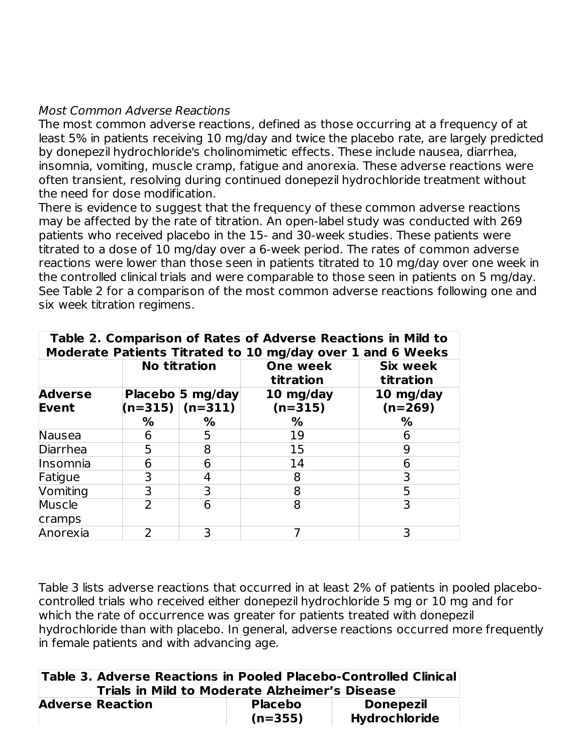#### Most Common Adverse Reactions

The most common adverse reactions, defined as those occurring at a frequency of at least 5% in patients receiving 10 mg/day and twice the placebo rate, are largely predicted by donepezil hydrochloride's cholinomimetic effects. These include nausea, diarrhea, insomnia, vomiting, muscle cramp, fatigue and anorexia. These adverse reactions were often transient, resolving during continued donepezil hydrochloride treatment without the need for dose modification.

There is evidence to suggest that the frequency of these common adverse reactions may be affected by the rate of titration. An open-label study was conducted with 269 patients who received placebo in the 15- and 30-week studies. These patients were titrated to a dose of 10 mg/day over a 6-week period. The rates of common adverse reactions were lower than those seen in patients titrated to 10 mg/day over one week in the controlled clinical trials and were comparable to those seen in patients on 5 mg/day. See Table 2 for a comparison of the most common adverse reactions following one and six week titration regimens.

| Table 2. Comparison of Rates of Adverse Reactions in Mild to<br>Moderate Patients Titrated to 10 mg/day over 1 and 6 Weeks |   |                                             |                        |                              |  |
|----------------------------------------------------------------------------------------------------------------------------|---|---------------------------------------------|------------------------|------------------------------|--|
|                                                                                                                            |   | <b>No titration</b>                         | One week<br>titration  | <b>Six week</b><br>titration |  |
| <b>Adverse</b><br>Event                                                                                                    |   | Placebo 5 mg/day<br>$(n=315)$ $(n=311)$ $ $ | 10 mg/day<br>$(n=315)$ | 10 mg/day<br>$(n=269)$       |  |
|                                                                                                                            | % | ℅                                           | ℅                      | %                            |  |
| <b>Nausea</b>                                                                                                              | 6 | 5                                           | 19                     | 6                            |  |
| <b>Diarrhea</b>                                                                                                            | 5 | 8                                           | 15                     | 9                            |  |
| Insomnia                                                                                                                   | 6 | 6                                           | 14                     | 6                            |  |
| Fatigue                                                                                                                    | 3 | 4                                           | 8                      |                              |  |
| Vomiting                                                                                                                   | 3 | 3                                           | 8                      | 5                            |  |
| Muscle                                                                                                                     |   | 6                                           | 8                      |                              |  |
| cramps                                                                                                                     |   |                                             |                        |                              |  |
| Anorexia                                                                                                                   | 2 | 3                                           |                        |                              |  |

Table 3 lists adverse reactions that occurred in at least 2% of patients in pooled placebocontrolled trials who received either donepezil hydrochloride 5 mg or 10 mg and for which the rate of occurrence was greater for patients treated with donepezil hydrochloride than with placebo. In general, adverse reactions occurred more frequently in female patients and with advancing age.

| Table 3. Adverse Reactions in Pooled Placebo-Controlled Clinical<br>Trials in Mild to Moderate Alzheimer's Disease |                             |                                          |
|--------------------------------------------------------------------------------------------------------------------|-----------------------------|------------------------------------------|
| <b>Adverse Reaction</b>                                                                                            | <b>Placebo</b><br>$(n=355)$ | <b>Donepezil</b><br><b>Hydrochloride</b> |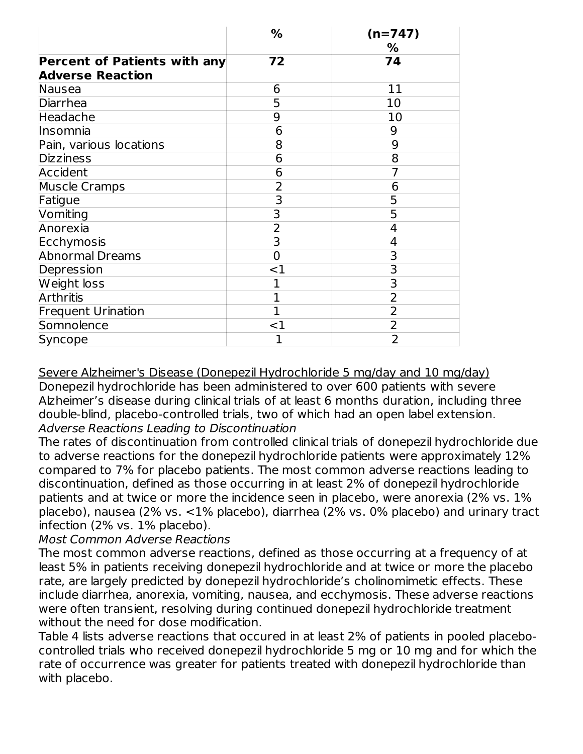|                                     | $\frac{0}{0}$           | $(n=747)$<br>% |
|-------------------------------------|-------------------------|----------------|
| <b>Percent of Patients with any</b> | 72                      | 74             |
| <b>Adverse Reaction</b>             |                         |                |
| Nausea                              | 6                       | 11             |
| <b>Diarrhea</b>                     | 5                       | 10             |
| Headache                            | 9                       | 10             |
| Insomnia                            | 6                       | 9              |
| Pain, various locations             | 8                       | 9              |
| <b>Dizziness</b>                    | 6                       | 8              |
| Accident                            | 6                       |                |
| <b>Muscle Cramps</b>                | $\overline{2}$          | 6              |
| Fatigue                             | 3                       | 5              |
| Vomiting                            | 3                       | 5              |
| Anorexia                            | $\overline{2}$          | 4              |
| Ecchymosis                          | $\overline{\mathsf{3}}$ | 4              |
| <b>Abnormal Dreams</b>              | 0                       | 3              |
| Depression                          | ${<}1$                  | 3              |
| Weight loss                         | 1                       | 3              |
| <b>Arthritis</b>                    | 1                       | $\overline{2}$ |
| <b>Frequent Urination</b>           | $\overline{1}$          | $\overline{2}$ |
| Somnolence                          | ${<}1$                  | 2              |
| Syncope                             |                         | $\overline{2}$ |

Severe Alzheimer's Disease (Donepezil Hydrochloride 5 mg/day and 10 mg/day) Donepezil hydrochloride has been administered to over 600 patients with severe Alzheimer's disease during clinical trials of at least 6 months duration, including three double-blind, placebo-controlled trials, two of which had an open label extension. Adverse Reactions Leading to Discontinuation

The rates of discontinuation from controlled clinical trials of donepezil hydrochloride due to adverse reactions for the donepezil hydrochloride patients were approximately 12% compared to 7% for placebo patients. The most common adverse reactions leading to discontinuation, defined as those occurring in at least 2% of donepezil hydrochloride patients and at twice or more the incidence seen in placebo, were anorexia (2% vs. 1% placebo), nausea (2% vs. <1% placebo), diarrhea (2% vs. 0% placebo) and urinary tract infection (2% vs. 1% placebo).

#### Most Common Adverse Reactions

The most common adverse reactions, defined as those occurring at a frequency of at least 5% in patients receiving donepezil hydrochloride and at twice or more the placebo rate, are largely predicted by donepezil hydrochloride's cholinomimetic effects. These include diarrhea, anorexia, vomiting, nausea, and ecchymosis. These adverse reactions were often transient, resolving during continued donepezil hydrochloride treatment without the need for dose modification.

Table 4 lists adverse reactions that occured in at least 2% of patients in pooled placebocontrolled trials who received donepezil hydrochloride 5 mg or 10 mg and for which the rate of occurrence was greater for patients treated with donepezil hydrochloride than with placebo.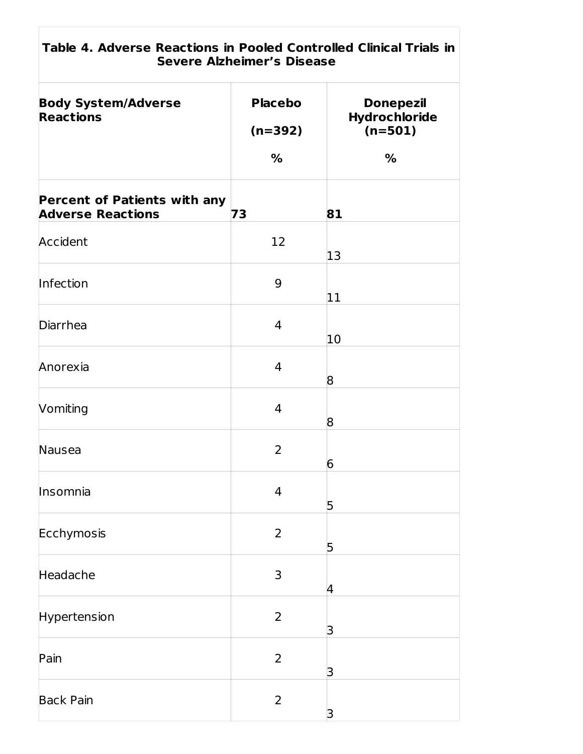| Table 4. Adverse Reactions in Pooled Controlled Clinical Trials in<br><b>Severe Alzheimer's Disease</b> |                             |                                                |  |  |  |
|---------------------------------------------------------------------------------------------------------|-----------------------------|------------------------------------------------|--|--|--|
| <b>Body System/Adverse</b><br><b>Reactions</b>                                                          | <b>Placebo</b><br>$(n=392)$ | <b>Donepezil</b><br>Hydrochloride<br>$(n=501)$ |  |  |  |
|                                                                                                         | %                           | %                                              |  |  |  |
| <b>Percent of Patients with any</b><br><b>Adverse Reactions</b>                                         | 73                          | 81                                             |  |  |  |
| Accident                                                                                                | 12                          | 13                                             |  |  |  |
| Infection                                                                                               | 9                           | 11                                             |  |  |  |
| Diarrhea                                                                                                | 4                           | 10                                             |  |  |  |
| Anorexia                                                                                                | $\overline{4}$              | 8                                              |  |  |  |
| Vomiting                                                                                                | $\overline{4}$              | 8                                              |  |  |  |
| Nausea                                                                                                  | $\overline{2}$              | 6                                              |  |  |  |
| Insomnia                                                                                                | $\overline{4}$              | 5                                              |  |  |  |
| Ecchymosis                                                                                              | $\overline{2}$              | 5                                              |  |  |  |
| Headache                                                                                                | 3                           | 4                                              |  |  |  |
| Hypertension                                                                                            | $\overline{2}$              | 3                                              |  |  |  |
| Pain                                                                                                    | $\overline{2}$              | 3                                              |  |  |  |
| <b>Back Pain</b>                                                                                        | $\overline{2}$              | 3                                              |  |  |  |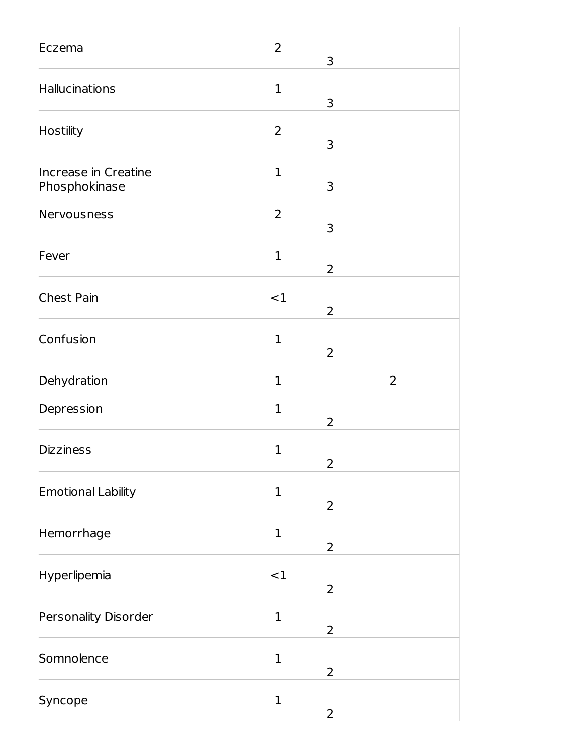| Eczema                                | $\overline{2}$ | 3              |
|---------------------------------------|----------------|----------------|
| Hallucinations                        | $\mathbf{1}$   | З              |
| <b>Hostility</b>                      | $\overline{2}$ | З              |
| Increase in Creatine<br>Phosphokinase | $\mathbf{1}$   | З              |
| Nervousness                           | $\overline{2}$ | 3              |
| Fever                                 | $\mathbf{1}$   | $\overline{2}$ |
| Chest Pain                            | <1             | 2              |
| Confusion                             | $\mathbf 1$    | 2              |
| Dehydration                           | $\mathbf{1}$   | $\overline{2}$ |
| Depression                            | $\mathbf{1}$   | 2              |
| <b>Dizziness</b>                      | $\mathbf{1}$   | 2              |
| <b>Emotional Lability</b>             | $\mathbf{1}$   | 2              |
| Hemorrhage                            | $\mathbf{1}$   | 2              |
| Hyperlipemia                          | <1             | 2              |
| Personality Disorder                  | $\mathbf{1}$   | 2              |
| Somnolence                            | $\mathbf{1}$   | 2              |
| Syncope                               | $\mathbf{1}$   | 2              |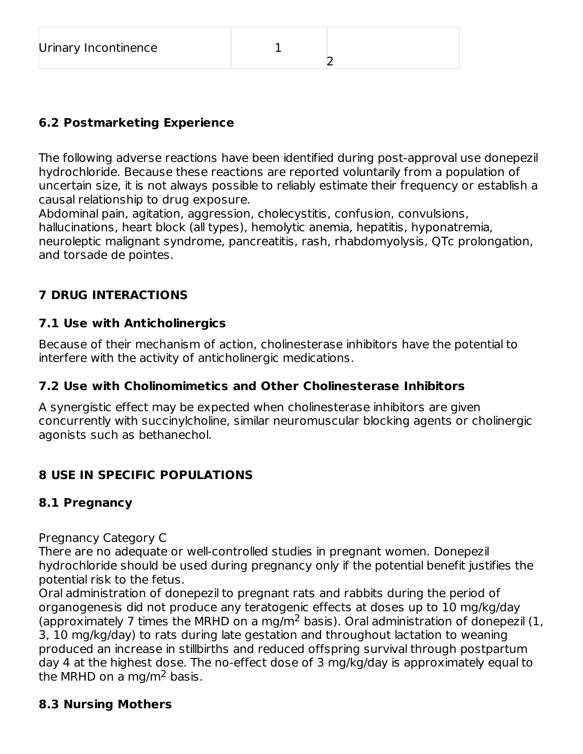12

# **6.2 Postmarketing Experience**

The following adverse reactions have been identified during post-approval use donepezil hydrochloride. Because these reactions are reported voluntarily from a population of uncertain size, it is not always possible to reliably estimate their frequency or establish a causal relationship to drug exposure.

Abdominal pain, agitation, aggression, cholecystitis, confusion, convulsions, hallucinations, heart block (all types), hemolytic anemia, hepatitis, hyponatremia, neuroleptic malignant syndrome, pancreatitis, rash, rhabdomyolysis, QTc prolongation, and torsade de pointes.

# **7 DRUG INTERACTIONS**

## **7.1 Use with Anticholinergics**

Because of their mechanism of action, cholinesterase inhibitors have the potential to interfere with the activity of anticholinergic medications.

## **7.2 Use with Cholinomimetics and Other Cholinesterase Inhibitors**

A synergistic effect may be expected when cholinesterase inhibitors are given concurrently with succinylcholine, similar neuromuscular blocking agents or cholinergic agonists such as bethanechol.

# **8 USE IN SPECIFIC POPULATIONS**

## **8.1 Pregnancy**

Pregnancy Category C

There are no adequate or well-controlled studies in pregnant women. Donepezil hydrochloride should be used during pregnancy only if the potential benefit justifies the potential risk to the fetus.

Oral administration of donepezil to pregnant rats and rabbits during the period of organogenesis did not produce any teratogenic effects at doses up to 10 mg/kg/day (approximately 7 times the MRHD on a mg/m<sup>2</sup> basis). Oral administration of donepezil (1, 3, 10 mg/kg/day) to rats during late gestation and throughout lactation to weaning produced an increase in stillbirths and reduced offspring survival through postpartum day 4 at the highest dose. The no-effect dose of 3 mg/kg/day is approximately equal to the MRHD on a mg/m<sup>2</sup> basis.

## **8.3 Nursing Mothers**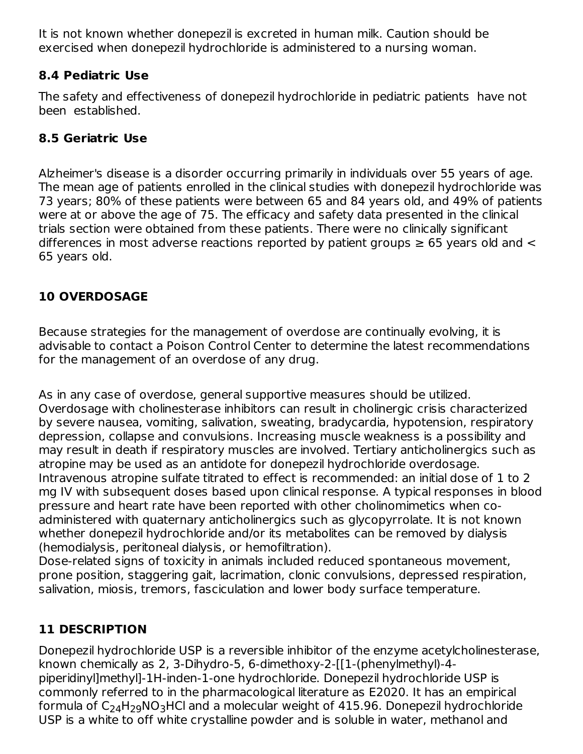It is not known whether donepezil is excreted in human milk. Caution should be exercised when donepezil hydrochloride is administered to a nursing woman.

## **8.4 Pediatric Use**

The safety and effectiveness of donepezil hydrochloride in pediatric patients have not been established.

## **8.5 Geriatric Use**

Alzheimer's disease is a disorder occurring primarily in individuals over 55 years of age. The mean age of patients enrolled in the clinical studies with donepezil hydrochloride was 73 years; 80% of these patients were between 65 and 84 years old, and 49% of patients were at or above the age of 75. The efficacy and safety data presented in the clinical trials section were obtained from these patients. There were no clinically significant differences in most adverse reactions reported by patient groups  $\geq 65$  years old and  $\leq$ 65 years old.

# **10 OVERDOSAGE**

Because strategies for the management of overdose are continually evolving, it is advisable to contact a Poison Control Center to determine the latest recommendations for the management of an overdose of any drug.

As in any case of overdose, general supportive measures should be utilized. Overdosage with cholinesterase inhibitors can result in cholinergic crisis characterized by severe nausea, vomiting, salivation, sweating, bradycardia, hypotension, respiratory depression, collapse and convulsions. Increasing muscle weakness is a possibility and may result in death if respiratory muscles are involved. Tertiary anticholinergics such as atropine may be used as an antidote for donepezil hydrochloride overdosage. Intravenous atropine sulfate titrated to effect is recommended: an initial dose of 1 to 2 mg IV with subsequent doses based upon clinical response. A typical responses in blood pressure and heart rate have been reported with other cholinomimetics when coadministered with quaternary anticholinergics such as glycopyrrolate. It is not known whether donepezil hydrochloride and/or its metabolites can be removed by dialysis (hemodialysis, peritoneal dialysis, or hemofiltration).

Dose-related signs of toxicity in animals included reduced spontaneous movement, prone position, staggering gait, lacrimation, clonic convulsions, depressed respiration, salivation, miosis, tremors, fasciculation and lower body surface temperature.

# **11 DESCRIPTION**

Donepezil hydrochloride USP is a reversible inhibitor of the enzyme acetylcholinesterase, known chemically as 2, 3-Dihydro-5, 6-dimethoxy-2-[[1-(phenylmethyl)-4 piperidinyl]methyl]-1H-inden-1-one hydrochloride. Donepezil hydrochloride USP is commonly referred to in the pharmacological literature as E2020. It has an empirical formula of  $\mathsf{C}_{24}\mathsf{H}_{29}\mathsf{NO}_{3}\mathsf{H}\mathsf{Cl}$  and a molecular weight of 415.96. Donepezil hydrochloride USP is a white to off white crystalline powder and is soluble in water, methanol and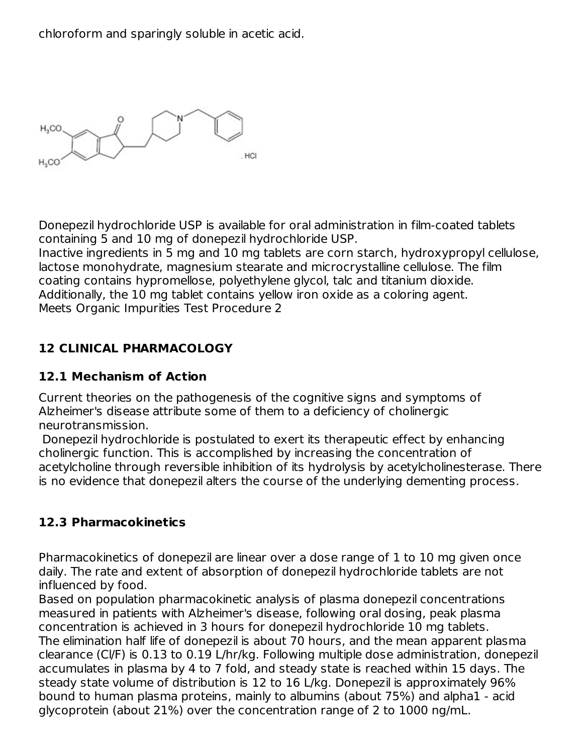chloroform and sparingly soluble in acetic acid.

 $H_3CO$ HCI  $H_3CO$ 

Donepezil hydrochloride USP is available for oral administration in film-coated tablets containing 5 and 10 mg of donepezil hydrochloride USP.

Inactive ingredients in 5 mg and 10 mg tablets are corn starch, hydroxypropyl cellulose, lactose monohydrate, magnesium stearate and microcrystalline cellulose. The film coating contains hypromellose, polyethylene glycol, talc and titanium dioxide. Additionally, the 10 mg tablet contains yellow iron oxide as a coloring agent. Meets Organic Impurities Test Procedure 2

## **12 CLINICAL PHARMACOLOGY**

## **12.1 Mechanism of Action**

Current theories on the pathogenesis of the cognitive signs and symptoms of Alzheimer's disease attribute some of them to a deficiency of cholinergic neurotransmission.

Donepezil hydrochloride is postulated to exert its therapeutic effect by enhancing cholinergic function. This is accomplished by increasing the concentration of acetylcholine through reversible inhibition of its hydrolysis by acetylcholinesterase. There is no evidence that donepezil alters the course of the underlying dementing process.

## **12.3 Pharmacokinetics**

Pharmacokinetics of donepezil are linear over a dose range of 1 to 10 mg given once daily. The rate and extent of absorption of donepezil hydrochloride tablets are not influenced by food.

Based on population pharmacokinetic analysis of plasma donepezil concentrations measured in patients with Alzheimer's disease, following oral dosing, peak plasma concentration is achieved in 3 hours for donepezil hydrochloride 10 mg tablets. The elimination half life of donepezil is about 70 hours, and the mean apparent plasma clearance (Cl/F) is 0.13 to 0.19 L/hr/kg. Following multiple dose administration, donepezil accumulates in plasma by 4 to 7 fold, and steady state is reached within 15 days. The steady state volume of distribution is 12 to 16 L/kg. Donepezil is approximately 96% bound to human plasma proteins, mainly to albumins (about 75%) and alpha1 - acid glycoprotein (about 21%) over the concentration range of 2 to 1000 ng/mL.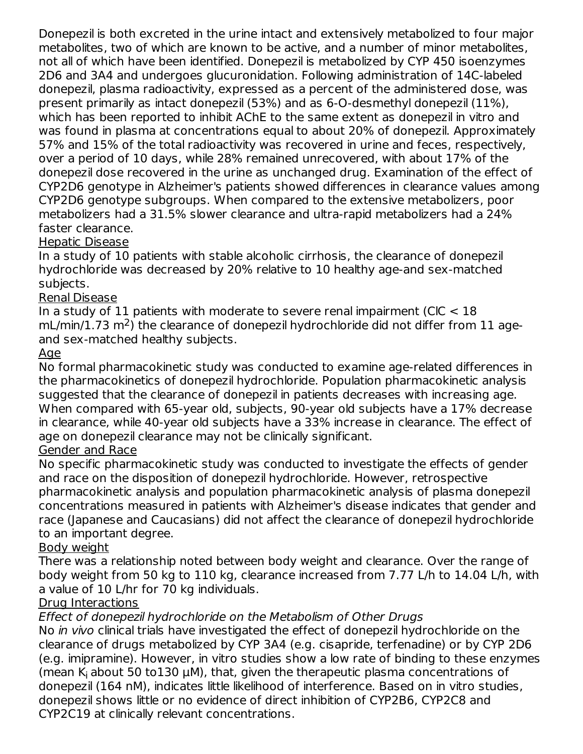Donepezil is both excreted in the urine intact and extensively metabolized to four major metabolites, two of which are known to be active, and a number of minor metabolites, not all of which have been identified. Donepezil is metabolized by CYP 450 isoenzymes 2D6 and 3A4 and undergoes glucuronidation. Following administration of 14C-labeled donepezil, plasma radioactivity, expressed as a percent of the administered dose, was present primarily as intact donepezil (53%) and as 6-O-desmethyl donepezil (11%), which has been reported to inhibit AChE to the same extent as donepezil in vitro and was found in plasma at concentrations equal to about 20% of donepezil. Approximately 57% and 15% of the total radioactivity was recovered in urine and feces, respectively, over a period of 10 days, while 28% remained unrecovered, with about 17% of the donepezil dose recovered in the urine as unchanged drug. Examination of the effect of CYP2D6 genotype in Alzheimer's patients showed differences in clearance values among CYP2D6 genotype subgroups. When compared to the extensive metabolizers, poor metabolizers had a 31.5% slower clearance and ultra-rapid metabolizers had a 24% faster clearance.

#### Hepatic Disease

In a study of 10 patients with stable alcoholic cirrhosis, the clearance of donepezil hydrochloride was decreased by 20% relative to 10 healthy age-and sex-matched subjects.

#### Renal Disease

In a study of 11 patients with moderate to severe renal impairment (CIC  $<$  18  $mL/min/1.73 m<sup>2</sup>$ ) the clearance of donepezil hydrochloride did not differ from 11 ageand sex-matched healthy subjects.

#### Age

No formal pharmacokinetic study was conducted to examine age-related differences in the pharmacokinetics of donepezil hydrochloride. Population pharmacokinetic analysis suggested that the clearance of donepezil in patients decreases with increasing age. When compared with 65-year old, subjects, 90-year old subjects have a 17% decrease in clearance, while 40-year old subjects have a 33% increase in clearance. The effect of age on donepezil clearance may not be clinically significant.

#### Gender and Race

No specific pharmacokinetic study was conducted to investigate the effects of gender and race on the disposition of donepezil hydrochloride. However, retrospective pharmacokinetic analysis and population pharmacokinetic analysis of plasma donepezil concentrations measured in patients with Alzheimer's disease indicates that gender and race (Japanese and Caucasians) did not affect the clearance of donepezil hydrochloride to an important degree.

#### Body weight

There was a relationship noted between body weight and clearance. Over the range of body weight from 50 kg to 110 kg, clearance increased from 7.77 L/h to 14.04 L/h, with a value of 10 L/hr for 70 kg individuals.

## Drug Interactions

## Effect of donepezil hydrochloride on the Metabolism of Other Drugs

No *in vivo* clinical trials have investigated the effect of donepezil hydrochloride on the clearance of drugs metabolized by CYP 3A4 (e.g. cisapride, terfenadine) or by CYP 2D6 (e.g. imipramine). However, in vitro studies show a low rate of binding to these enzymes (mean  $K_i$  about 50 to130  $\mu$ M), that, given the therapeutic plasma concentrations of donepezil (164 nM), indicates little likelihood of interference. Based on in vitro studies, donepezil shows little or no evidence of direct inhibition of CYP2B6, CYP2C8 and CYP2C19 at clinically relevant concentrations.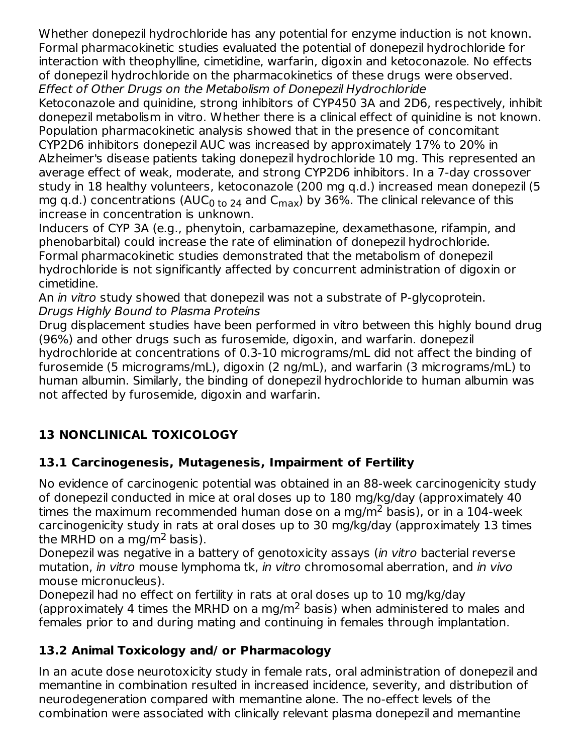Whether donepezil hydrochloride has any potential for enzyme induction is not known. Formal pharmacokinetic studies evaluated the potential of donepezil hydrochloride for interaction with theophylline, cimetidine, warfarin, digoxin and ketoconazole. No effects of donepezil hydrochloride on the pharmacokinetics of these drugs were observed. Effect of Other Drugs on the Metabolism of Donepezil Hydrochloride

Ketoconazole and quinidine, strong inhibitors of CYP450 3A and 2D6, respectively, inhibit donepezil metabolism in vitro. Whether there is a clinical effect of quinidine is not known. Population pharmacokinetic analysis showed that in the presence of concomitant CYP2D6 inhibitors donepezil AUC was increased by approximately 17% to 20% in Alzheimer's disease patients taking donepezil hydrochloride 10 mg. This represented an average effect of weak, moderate, and strong CYP2D6 inhibitors. In a 7-day crossover study in 18 healthy volunteers, ketoconazole (200 mg q.d.) increased mean donepezil (5 mg q.d.) concentrations (AUC<sub>0 to 24</sub> and C<sub>max</sub>) by 36%. The clinical relevance of this increase in concentration is unknown.

Inducers of CYP 3A (e.g., phenytoin, carbamazepine, dexamethasone, rifampin, and phenobarbital) could increase the rate of elimination of donepezil hydrochloride. Formal pharmacokinetic studies demonstrated that the metabolism of donepezil hydrochloride is not significantly affected by concurrent administration of digoxin or cimetidine.

An *in vitro* study showed that donepezil was not a substrate of P-glycoprotein. Drugs Highly Bound to Plasma Proteins

Drug displacement studies have been performed in vitro between this highly bound drug (96%) and other drugs such as furosemide, digoxin, and warfarin. donepezil hydrochloride at concentrations of 0.3-10 micrograms/mL did not affect the binding of furosemide (5 micrograms/mL), digoxin (2 ng/mL), and warfarin (3 micrograms/mL) to human albumin. Similarly, the binding of donepezil hydrochloride to human albumin was not affected by furosemide, digoxin and warfarin.

# **13 NONCLINICAL TOXICOLOGY**

# **13.1 Carcinogenesis, Mutagenesis, Impairment of Fertility**

No evidence of carcinogenic potential was obtained in an 88-week carcinogenicity study of donepezil conducted in mice at oral doses up to 180 mg/kg/day (approximately 40 times the maximum recommended human dose on a mg/m $^2$  basis), or in a 104-week carcinogenicity study in rats at oral doses up to 30 mg/kg/day (approximately 13 times the MRHD on a mg/m<sup>2</sup> basis).

Donepezil was negative in a battery of genotoxicity assays (in vitro bacterial reverse mutation, in vitro mouse lymphoma tk, in vitro chromosomal aberration, and in vivo mouse micronucleus).

Donepezil had no effect on fertility in rats at oral doses up to 10 mg/kg/day (approximately 4 times the MRHD on a mg/m<sup>2</sup> basis) when administered to males and females prior to and during mating and continuing in females through implantation.

# **13.2 Animal Toxicology and/ or Pharmacology**

In an acute dose neurotoxicity study in female rats, oral administration of donepezil and memantine in combination resulted in increased incidence, severity, and distribution of neurodegeneration compared with memantine alone. The no-effect levels of the combination were associated with clinically relevant plasma donepezil and memantine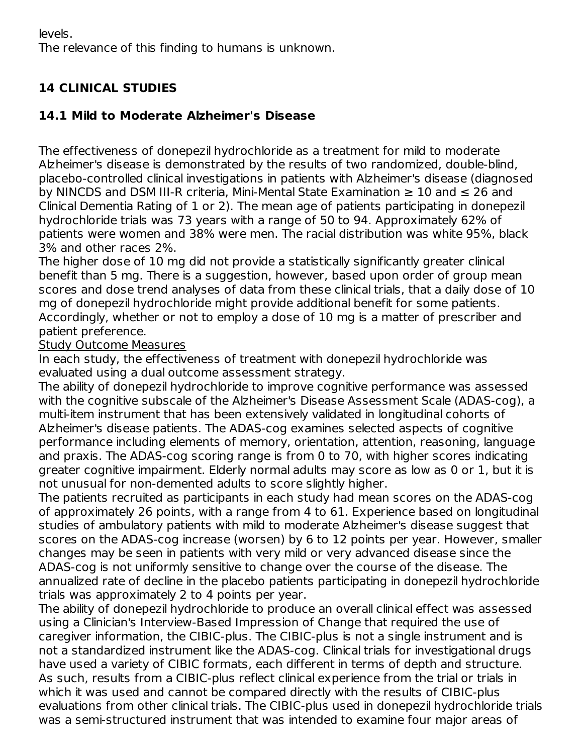levels. The relevance of this finding to humans is unknown.

# **14 CLINICAL STUDIES**

# **14.1 Mild to Moderate Alzheimer's Disease**

The effectiveness of donepezil hydrochloride as a treatment for mild to moderate Alzheimer's disease is demonstrated by the results of two randomized, double-blind, placebo-controlled clinical investigations in patients with Alzheimer's disease (diagnosed by NINCDS and DSM III-R criteria, Mini-Mental State Examination  $\geq 10$  and  $\leq 26$  and Clinical Dementia Rating of 1 or 2). The mean age of patients participating in donepezil hydrochloride trials was 73 years with a range of 50 to 94. Approximately 62% of patients were women and 38% were men. The racial distribution was white 95%, black 3% and other races 2%.

The higher dose of 10 mg did not provide a statistically significantly greater clinical benefit than 5 mg. There is a suggestion, however, based upon order of group mean scores and dose trend analyses of data from these clinical trials, that a daily dose of 10 mg of donepezil hydrochloride might provide additional benefit for some patients. Accordingly, whether or not to employ a dose of 10 mg is a matter of prescriber and patient preference.

Study Outcome Measures

In each study, the effectiveness of treatment with donepezil hydrochloride was evaluated using a dual outcome assessment strategy.

The ability of donepezil hydrochloride to improve cognitive performance was assessed with the cognitive subscale of the Alzheimer's Disease Assessment Scale (ADAS-cog), a multi-item instrument that has been extensively validated in longitudinal cohorts of Alzheimer's disease patients. The ADAS-cog examines selected aspects of cognitive performance including elements of memory, orientation, attention, reasoning, language and praxis. The ADAS-cog scoring range is from 0 to 70, with higher scores indicating greater cognitive impairment. Elderly normal adults may score as low as 0 or 1, but it is not unusual for non-demented adults to score slightly higher.

The patients recruited as participants in each study had mean scores on the ADAS-cog of approximately 26 points, with a range from 4 to 61. Experience based on longitudinal studies of ambulatory patients with mild to moderate Alzheimer's disease suggest that scores on the ADAS-cog increase (worsen) by 6 to 12 points per year. However, smaller changes may be seen in patients with very mild or very advanced disease since the ADAS-cog is not uniformly sensitive to change over the course of the disease. The annualized rate of decline in the placebo patients participating in donepezil hydrochloride trials was approximately 2 to 4 points per year.

The ability of donepezil hydrochloride to produce an overall clinical effect was assessed using a Clinician's Interview-Based Impression of Change that required the use of caregiver information, the CIBIC-plus. The CIBIC-plus is not a single instrument and is not a standardized instrument like the ADAS-cog. Clinical trials for investigational drugs have used a variety of CIBIC formats, each different in terms of depth and structure. As such, results from a CIBIC-plus reflect clinical experience from the trial or trials in which it was used and cannot be compared directly with the results of CIBIC-plus evaluations from other clinical trials. The CIBIC-plus used in donepezil hydrochloride trials was a semi-structured instrument that was intended to examine four major areas of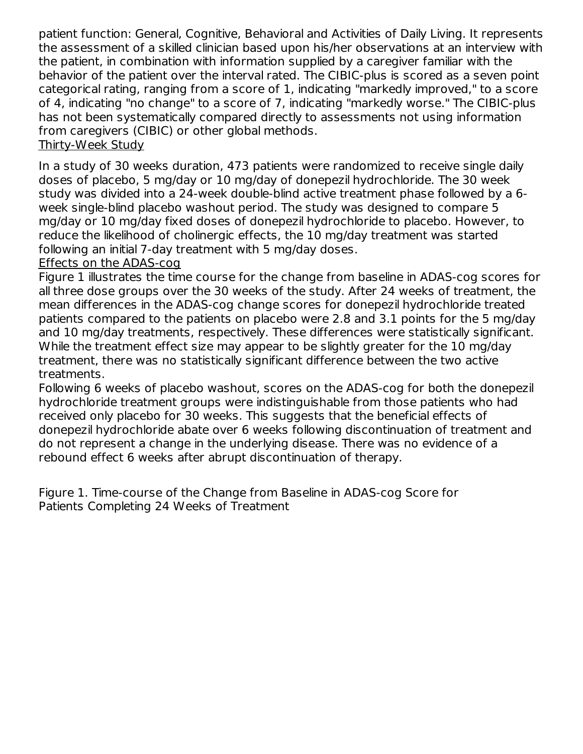patient function: General, Cognitive, Behavioral and Activities of Daily Living. It represents the assessment of a skilled clinician based upon his/her observations at an interview with the patient, in combination with information supplied by a caregiver familiar with the behavior of the patient over the interval rated. The CIBIC-plus is scored as a seven point categorical rating, ranging from a score of 1, indicating "markedly improved," to a score of 4, indicating "no change" to a score of 7, indicating "markedly worse." The CIBIC-plus has not been systematically compared directly to assessments not using information from caregivers (CIBIC) or other global methods. Thirty-Week Study

In a study of 30 weeks duration, 473 patients were randomized to receive single daily doses of placebo, 5 mg/day or 10 mg/day of donepezil hydrochloride. The 30 week study was divided into a 24-week double-blind active treatment phase followed by a 6 week single-blind placebo washout period. The study was designed to compare 5 mg/day or 10 mg/day fixed doses of donepezil hydrochloride to placebo. However, to reduce the likelihood of cholinergic effects, the 10 mg/day treatment was started following an initial 7-day treatment with 5 mg/day doses.

#### Effects on the ADAS-cog

Figure 1 illustrates the time course for the change from baseline in ADAS-cog scores for all three dose groups over the 30 weeks of the study. After 24 weeks of treatment, the mean differences in the ADAS-cog change scores for donepezil hydrochloride treated patients compared to the patients on placebo were 2.8 and 3.1 points for the 5 mg/day and 10 mg/day treatments, respectively. These differences were statistically significant. While the treatment effect size may appear to be slightly greater for the 10 mg/day treatment, there was no statistically significant difference between the two active treatments.

Following 6 weeks of placebo washout, scores on the ADAS-cog for both the donepezil hydrochloride treatment groups were indistinguishable from those patients who had received only placebo for 30 weeks. This suggests that the beneficial effects of donepezil hydrochloride abate over 6 weeks following discontinuation of treatment and do not represent a change in the underlying disease. There was no evidence of a rebound effect 6 weeks after abrupt discontinuation of therapy.

Figure 1. Time-course of the Change from Baseline in ADAS-cog Score for Patients Completing 24 Weeks of Treatment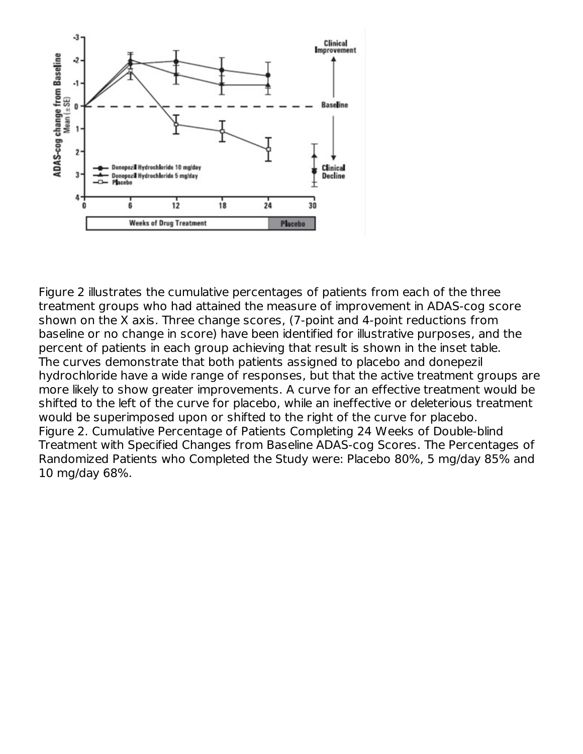

Figure 2 illustrates the cumulative percentages of patients from each of the three treatment groups who had attained the measure of improvement in ADAS-cog score shown on the X axis. Three change scores, (7-point and 4-point reductions from baseline or no change in score) have been identified for illustrative purposes, and the percent of patients in each group achieving that result is shown in the inset table. The curves demonstrate that both patients assigned to placebo and donepezil hydrochloride have a wide range of responses, but that the active treatment groups are more likely to show greater improvements. A curve for an effective treatment would be shifted to the left of the curve for placebo, while an ineffective or deleterious treatment would be superimposed upon or shifted to the right of the curve for placebo. Figure 2. Cumulative Percentage of Patients Completing 24 Weeks of Double-blind Treatment with Specified Changes from Baseline ADAS-cog Scores. The Percentages of Randomized Patients who Completed the Study were: Placebo 80%, 5 mg/day 85% and 10 mg/day 68%.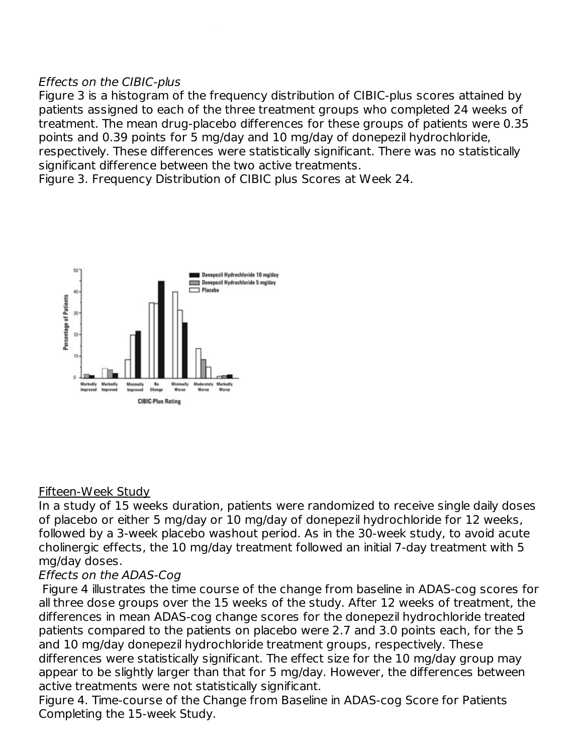#### Effects on the CIBIC-plus

Figure 3 is a histogram of the frequency distribution of CIBIC-plus scores attained by patients assigned to each of the three treatment groups who completed 24 weeks of treatment. The mean drug-placebo differences for these groups of patients were 0.35 points and 0.39 points for 5 mg/day and 10 mg/day of donepezil hydrochloride, respectively. These differences were statistically significant. There was no statistically significant difference between the two active treatments.

Figure 3. Frequency Distribution of CIBIC plus Scores at Week 24.



#### Fifteen-Week Study

In a study of 15 weeks duration, patients were randomized to receive single daily doses of placebo or either 5 mg/day or 10 mg/day of donepezil hydrochloride for 12 weeks, followed by a 3-week placebo washout period. As in the 30-week study, to avoid acute cholinergic effects, the 10 mg/day treatment followed an initial 7-day treatment with 5 mg/day doses.

#### Effects on the ADAS-Cog

Figure 4 illustrates the time course of the change from baseline in ADAS-cog scores for all three dose groups over the 15 weeks of the study. After 12 weeks of treatment, the differences in mean ADAS-cog change scores for the donepezil hydrochloride treated patients compared to the patients on placebo were 2.7 and 3.0 points each, for the 5 and 10 mg/day donepezil hydrochloride treatment groups, respectively. These differences were statistically significant. The effect size for the 10 mg/day group may appear to be slightly larger than that for 5 mg/day. However, the differences between active treatments were not statistically significant.

Figure 4. Time-course of the Change from Baseline in ADAS-cog Score for Patients Completing the 15-week Study.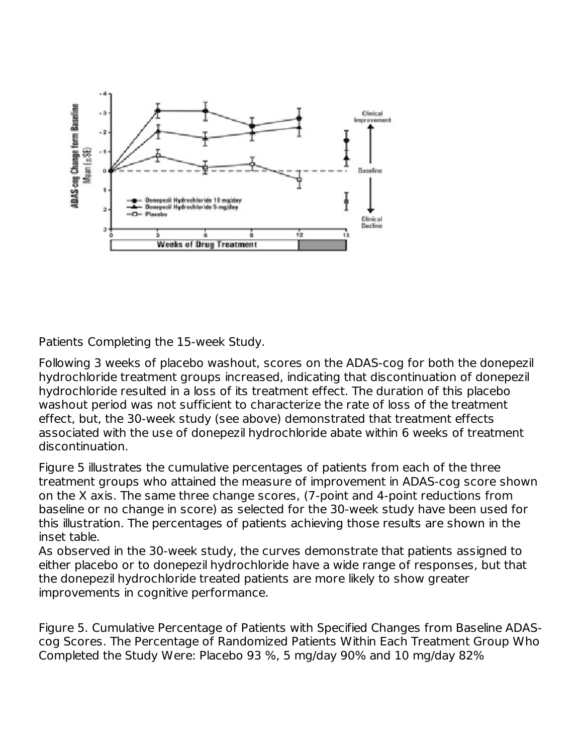

Patients Completing the 15-week Study.

Following 3 weeks of placebo washout, scores on the ADAS-cog for both the donepezil hydrochloride treatment groups increased, indicating that discontinuation of donepezil hydrochloride resulted in a loss of its treatment effect. The duration of this placebo washout period was not sufficient to characterize the rate of loss of the treatment effect, but, the 30-week study (see above) demonstrated that treatment effects associated with the use of donepezil hydrochloride abate within 6 weeks of treatment discontinuation.

Figure 5 illustrates the cumulative percentages of patients from each of the three treatment groups who attained the measure of improvement in ADAS-cog score shown on the X axis. The same three change scores, (7-point and 4-point reductions from baseline or no change in score) as selected for the 30-week study have been used for this illustration. The percentages of patients achieving those results are shown in the inset table.

As observed in the 30-week study, the curves demonstrate that patients assigned to either placebo or to donepezil hydrochloride have a wide range of responses, but that the donepezil hydrochloride treated patients are more likely to show greater improvements in cognitive performance.

Figure 5. Cumulative Percentage of Patients with Specified Changes from Baseline ADAScog Scores. The Percentage of Randomized Patients Within Each Treatment Group Who Completed the Study Were: Placebo 93 %, 5 mg/day 90% and 10 mg/day 82%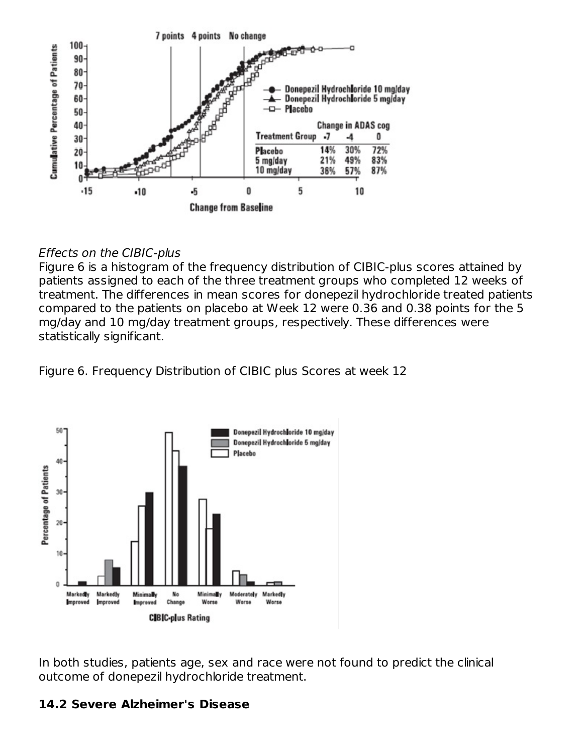

#### Effects on the CIBIC-plus

Figure 6 is a histogram of the frequency distribution of CIBIC-plus scores attained by patients assigned to each of the three treatment groups who completed 12 weeks of treatment. The differences in mean scores for donepezil hydrochloride treated patients compared to the patients on placebo at Week 12 were 0.36 and 0.38 points for the 5 mg/day and 10 mg/day treatment groups, respectively. These differences were statistically significant.

Figure 6. Frequency Distribution of CIBIC plus Scores at week 12



In both studies, patients age, sex and race were not found to predict the clinical outcome of donepezil hydrochloride treatment.

#### **14.2 Severe Alzheimer's Disease**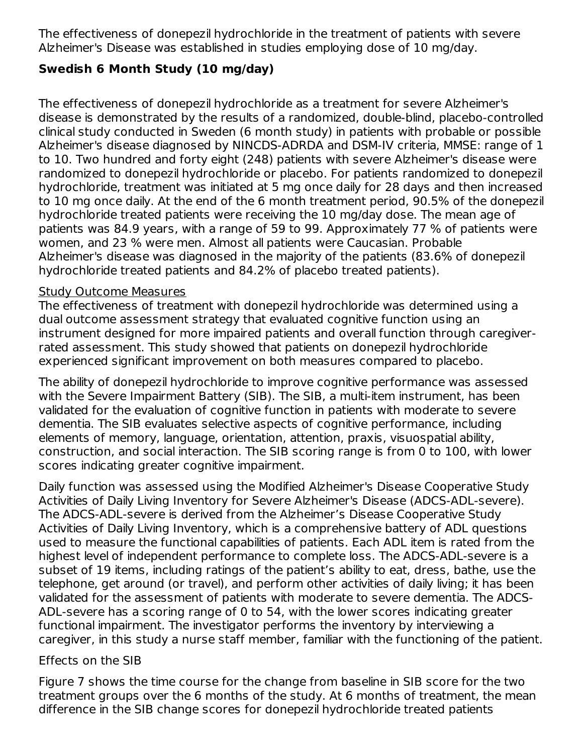The effectiveness of donepezil hydrochloride in the treatment of patients with severe Alzheimer's Disease was established in studies employing dose of 10 mg/day.

## **Swedish 6 Month Study (10 mg/day)**

The effectiveness of donepezil hydrochloride as a treatment for severe Alzheimer's disease is demonstrated by the results of a randomized, double-blind, placebo-controlled clinical study conducted in Sweden (6 month study) in patients with probable or possible Alzheimer's disease diagnosed by NINCDS-ADRDA and DSM-IV criteria, MMSE: range of 1 to 10. Two hundred and forty eight (248) patients with severe Alzheimer's disease were randomized to donepezil hydrochloride or placebo. For patients randomized to donepezil hydrochloride, treatment was initiated at 5 mg once daily for 28 days and then increased to 10 mg once daily. At the end of the 6 month treatment period, 90.5% of the donepezil hydrochloride treated patients were receiving the 10 mg/day dose. The mean age of patients was 84.9 years, with a range of 59 to 99. Approximately 77 % of patients were women, and 23 % were men. Almost all patients were Caucasian. Probable Alzheimer's disease was diagnosed in the majority of the patients (83.6% of donepezil hydrochloride treated patients and 84.2% of placebo treated patients).

#### Study Outcome Measures

The effectiveness of treatment with donepezil hydrochloride was determined using a dual outcome assessment strategy that evaluated cognitive function using an instrument designed for more impaired patients and overall function through caregiverrated assessment. This study showed that patients on donepezil hydrochloride experienced significant improvement on both measures compared to placebo.

The ability of donepezil hydrochloride to improve cognitive performance was assessed with the Severe Impairment Battery (SIB). The SIB, a multi-item instrument, has been validated for the evaluation of cognitive function in patients with moderate to severe dementia. The SIB evaluates selective aspects of cognitive performance, including elements of memory, language, orientation, attention, praxis, visuospatial ability, construction, and social interaction. The SIB scoring range is from 0 to 100, with lower scores indicating greater cognitive impairment.

Daily function was assessed using the Modified Alzheimer's Disease Cooperative Study Activities of Daily Living Inventory for Severe Alzheimer's Disease (ADCS-ADL-severe). The ADCS-ADL-severe is derived from the Alzheimer's Disease Cooperative Study Activities of Daily Living Inventory, which is a comprehensive battery of ADL questions used to measure the functional capabilities of patients. Each ADL item is rated from the highest level of independent performance to complete loss. The ADCS-ADL-severe is a subset of 19 items, including ratings of the patient's ability to eat, dress, bathe, use the telephone, get around (or travel), and perform other activities of daily living; it has been validated for the assessment of patients with moderate to severe dementia. The ADCS-ADL-severe has a scoring range of 0 to 54, with the lower scores indicating greater functional impairment. The investigator performs the inventory by interviewing a caregiver, in this study a nurse staff member, familiar with the functioning of the patient.

## Effects on the SIB

Figure 7 shows the time course for the change from baseline in SIB score for the two treatment groups over the 6 months of the study. At 6 months of treatment, the mean difference in the SIB change scores for donepezil hydrochloride treated patients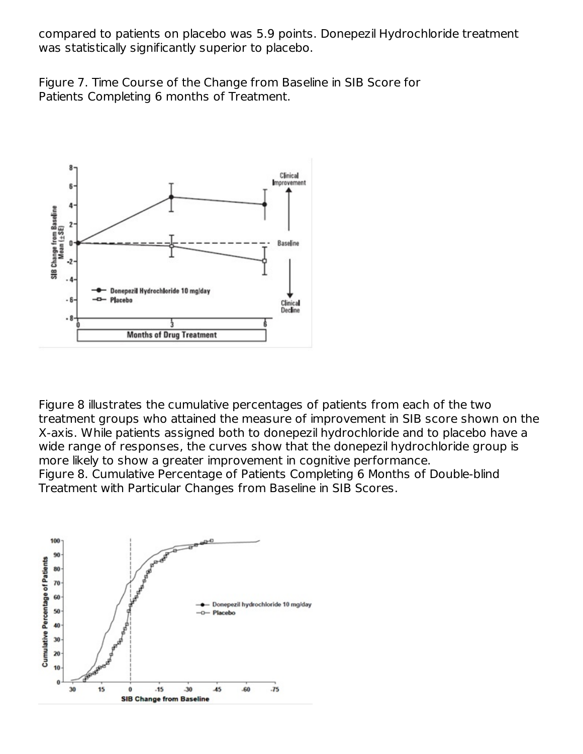compared to patients on placebo was 5.9 points. Donepezil Hydrochloride treatment was statistically significantly superior to placebo.

Figure 7. Time Course of the Change from Baseline in SIB Score for Patients Completing 6 months of Treatment.



Figure 8 illustrates the cumulative percentages of patients from each of the two treatment groups who attained the measure of improvement in SIB score shown on the X-axis. While patients assigned both to donepezil hydrochloride and to placebo have a wide range of responses, the curves show that the donepezil hydrochloride group is more likely to show a greater improvement in cognitive performance. Figure 8. Cumulative Percentage of Patients Completing 6 Months of Double-blind Treatment with Particular Changes from Baseline in SIB Scores.

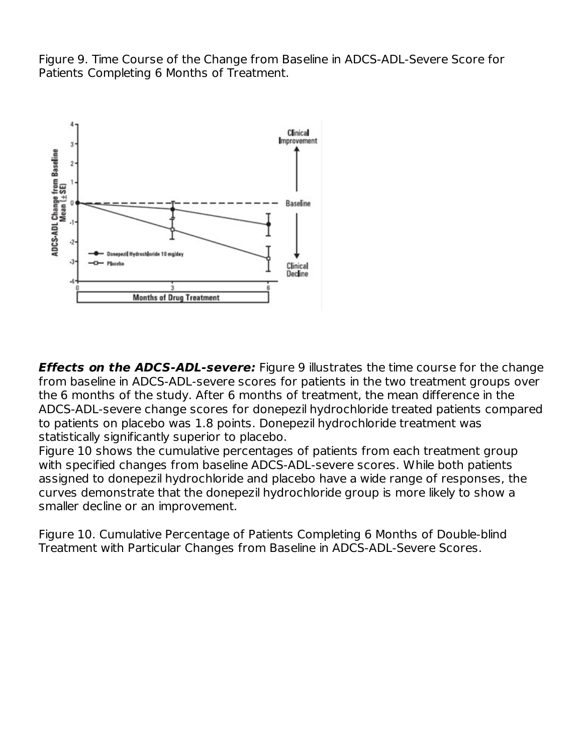Figure 9. Time Course of the Change from Baseline in ADCS-ADL-Severe Score for Patients Completing 6 Months of Treatment.



**Effects on the ADCS-ADL-severe:** Figure 9 illustrates the time course for the change from baseline in ADCS-ADL-severe scores for patients in the two treatment groups over the 6 months of the study. After 6 months of treatment, the mean difference in the ADCS-ADL-severe change scores for donepezil hydrochloride treated patients compared to patients on placebo was 1.8 points. Donepezil hydrochloride treatment was statistically significantly superior to placebo.

Figure 10 shows the cumulative percentages of patients from each treatment group with specified changes from baseline ADCS-ADL-severe scores. While both patients assigned to donepezil hydrochloride and placebo have a wide range of responses, the curves demonstrate that the donepezil hydrochloride group is more likely to show a smaller decline or an improvement.

Figure 10. Cumulative Percentage of Patients Completing 6 Months of Double-blind Treatment with Particular Changes from Baseline in ADCS-ADL-Severe Scores.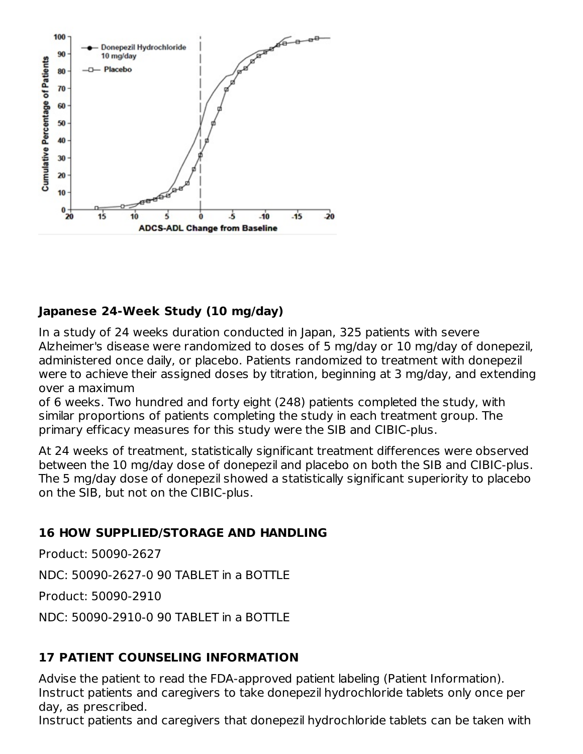

## **Japanese 24-Week Study (10 mg/day)**

In a study of 24 weeks duration conducted in Japan, 325 patients with severe Alzheimer's disease were randomized to doses of 5 mg/day or 10 mg/day of donepezil, administered once daily, or placebo. Patients randomized to treatment with donepezil were to achieve their assigned doses by titration, beginning at 3 mg/day, and extending over a maximum

of 6 weeks. Two hundred and forty eight (248) patients completed the study, with similar proportions of patients completing the study in each treatment group. The primary efficacy measures for this study were the SIB and CIBIC-plus.

At 24 weeks of treatment, statistically significant treatment differences were observed between the 10 mg/day dose of donepezil and placebo on both the SIB and CIBIC-plus. The 5 mg/day dose of donepezil showed a statistically significant superiority to placebo on the SIB, but not on the CIBIC-plus.

#### **16 HOW SUPPLIED/STORAGE AND HANDLING**

Product: 50090-2627

NDC: 50090-2627-0 90 TABLET in a BOTTLE

Product: 50090-2910

NDC: 50090-2910-0 90 TABLET in a BOTTLE

#### **17 PATIENT COUNSELING INFORMATION**

Advise the patient to read the FDA-approved patient labeling (Patient Information). Instruct patients and caregivers to take donepezil hydrochloride tablets only once per day, as prescribed.

Instruct patients and caregivers that donepezil hydrochloride tablets can be taken with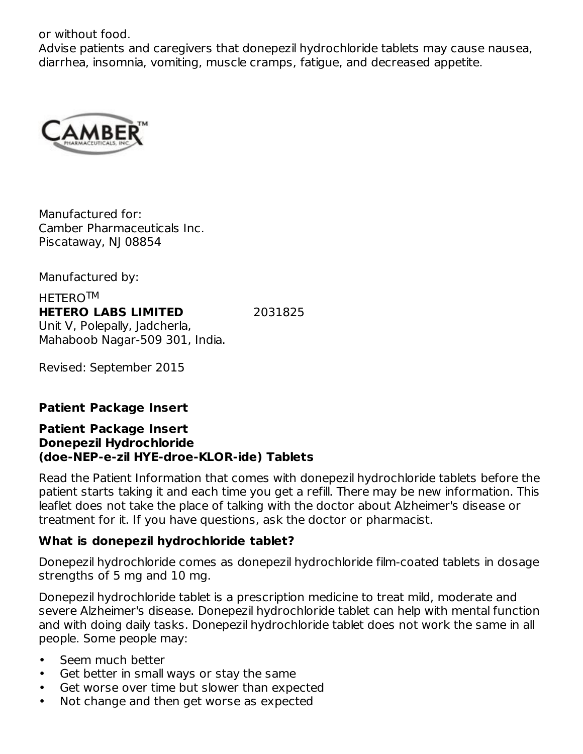or without food.

Advise patients and caregivers that donepezil hydrochloride tablets may cause nausea, diarrhea, insomnia, vomiting, muscle cramps, fatigue, and decreased appetite.



Manufactured for: Camber Pharmaceuticals Inc. Piscataway, NJ 08854

Manufactured by:

HETERO TM**HETERO LABS LIMITED** 2031825 Unit V, Polepally, Jadcherla, Mahaboob Nagar-509 301, India.

Revised: September 2015

#### **Patient Package Insert**

#### **Patient Package Insert Donepezil Hydrochloride (doe-NEP-e-zil HYE-droe-KLOR-ide) Tablets**

Read the Patient Information that comes with donepezil hydrochloride tablets before the patient starts taking it and each time you get a refill. There may be new information. This leaflet does not take the place of talking with the doctor about Alzheimer's disease or treatment for it. If you have questions, ask the doctor or pharmacist.

#### **What is donepezil hydrochloride tablet?**

Donepezil hydrochloride comes as donepezil hydrochloride film-coated tablets in dosage strengths of 5 mg and 10 mg.

Donepezil hydrochloride tablet is a prescription medicine to treat mild, moderate and severe Alzheimer's disease. Donepezil hydrochloride tablet can help with mental function and with doing daily tasks. Donepezil hydrochloride tablet does not work the same in all people. Some people may:

- Seem much better
- Get better in small ways or stay the same
- Get worse over time but slower than expected
- Not change and then get worse as expected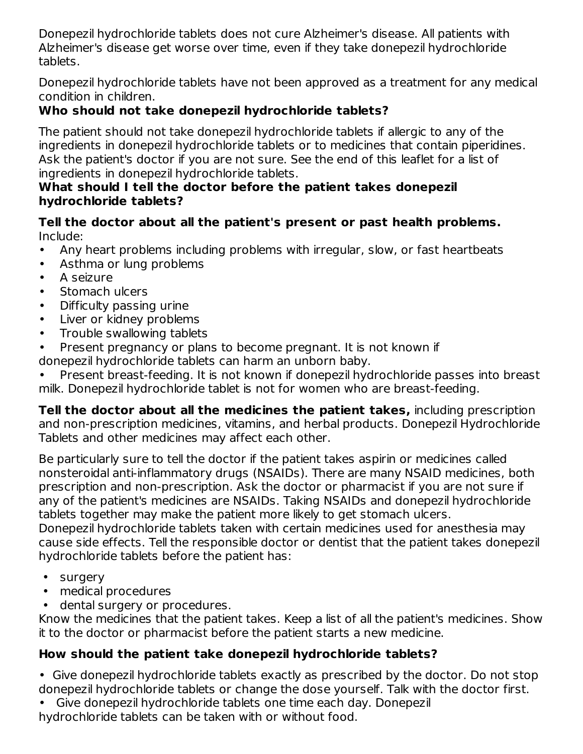Donepezil hydrochloride tablets does not cure Alzheimer's disease. All patients with Alzheimer's disease get worse over time, even if they take donepezil hydrochloride tablets.

Donepezil hydrochloride tablets have not been approved as a treatment for any medical condition in children.

# **Who should not take donepezil hydrochloride tablets?**

The patient should not take donepezil hydrochloride tablets if allergic to any of the ingredients in donepezil hydrochloride tablets or to medicines that contain piperidines. Ask the patient's doctor if you are not sure. See the end of this leaflet for a list of ingredients in donepezil hydrochloride tablets.

#### **What should I tell the doctor before the patient takes donepezil hydrochloride tablets?**

**Tell the doctor about all the patient's present or past health problems.** Include:

- Any heart problems including problems with irregular, slow, or fast heartbeats
- Asthma or lung problems
- A seizure
- Stomach ulcers
- Difficulty passing urine
- Liver or kidney problems
- Trouble swallowing tablets
- Present pregnancy or plans to become pregnant. It is not known if

donepezil hydrochloride tablets can harm an unborn baby.

• Present breast-feeding. It is not known if donepezil hydrochloride passes into breast milk. Donepezil hydrochloride tablet is not for women who are breast-feeding.

**Tell the doctor about all the medicines the patient takes,** including prescription and non-prescription medicines, vitamins, and herbal products. Donepezil Hydrochloride Tablets and other medicines may affect each other.

Be particularly sure to tell the doctor if the patient takes aspirin or medicines called nonsteroidal anti-inflammatory drugs (NSAIDs). There are many NSAID medicines, both prescription and non-prescription. Ask the doctor or pharmacist if you are not sure if any of the patient's medicines are NSAIDs. Taking NSAIDs and donepezil hydrochloride tablets together may make the patient more likely to get stomach ulcers.

Donepezil hydrochloride tablets taken with certain medicines used for anesthesia may cause side effects. Tell the responsible doctor or dentist that the patient takes donepezil hydrochloride tablets before the patient has:

- surgery
- medical procedures
- dental surgery or procedures.

Know the medicines that the patient takes. Keep a list of all the patient's medicines. Show it to the doctor or pharmacist before the patient starts a new medicine.

# **How should the patient take donepezil hydrochloride tablets?**

• Give donepezil hydrochloride tablets exactly as prescribed by the doctor. Do not stop donepezil hydrochloride tablets or change the dose yourself. Talk with the doctor first.

- Give donepezil hydrochloride tablets one time each day. Donepezil
- hydrochloride tablets can be taken with or without food.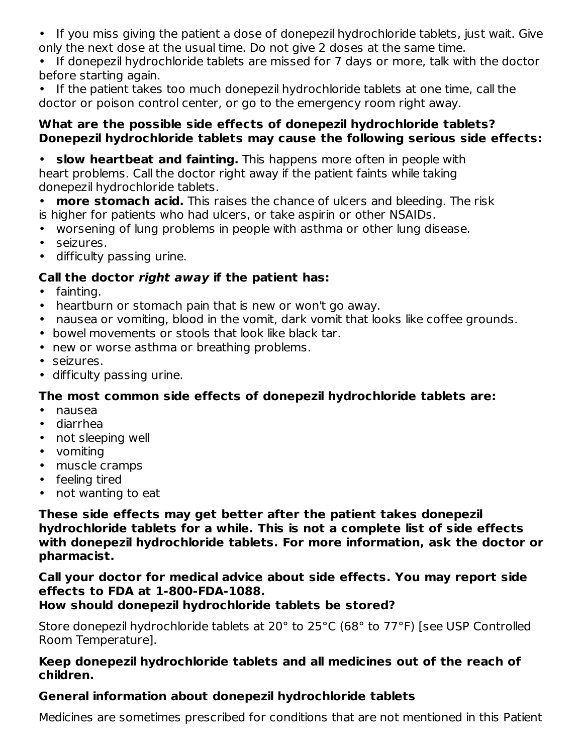• If you miss giving the patient a dose of donepezil hydrochloride tablets, just wait. Give only the next dose at the usual time. Do not give 2 doses at the same time.

• If donepezil hydrochloride tablets are missed for 7 days or more, talk with the doctor before starting again.

• If the patient takes too much donepezil hydrochloride tablets at one time, call the doctor or poison control center, or go to the emergency room right away.

#### **What are the possible side effects of donepezil hydrochloride tablets? Donepezil hydrochloride tablets may cause the following serious side effects:**

• **slow heartbeat and fainting.** This happens more often in people with heart problems. Call the doctor right away if the patient faints while taking donepezil hydrochloride tablets.

• **more stomach acid.** This raises the chance of ulcers and bleeding. The risk is higher for patients who had ulcers, or take aspirin or other NSAIDs.

- worsening of lung problems in people with asthma or other lung disease.
- seizures.
- difficulty passing urine.

#### **Call the doctor right away if the patient has:**

- fainting.
- heartburn or stomach pain that is new or won't go away.
- nausea or vomiting, blood in the vomit, dark vomit that looks like coffee grounds.
- bowel movements or stools that look like black tar.
- new or worse asthma or breathing problems.
- seizures.
- difficulty passing urine.

## **The most common side effects of donepezil hydrochloride tablets are:**

- nausea
- diarrhea
- not sleeping well
- vomiting
- muscle cramps
- feeling tired
- not wanting to eat

**These side effects may get better after the patient takes donepezil hydrochloride tablets for a while. This is not a complete list of side effects with donepezil hydrochloride tablets. For more information, ask the doctor or pharmacist.**

## **Call your doctor for medical advice about side effects. You may report side effects to FDA at 1-800-FDA-1088.**

## **How should donepezil hydrochloride tablets be stored?**

Store donepezil hydrochloride tablets at 20° to 25°C (68° to 77°F) [see USP Controlled Room Temperature].

#### **Keep donepezil hydrochloride tablets and all medicines out of the reach of children.**

## **General information about donepezil hydrochloride tablets**

Medicines are sometimes prescribed for conditions that are not mentioned in this Patient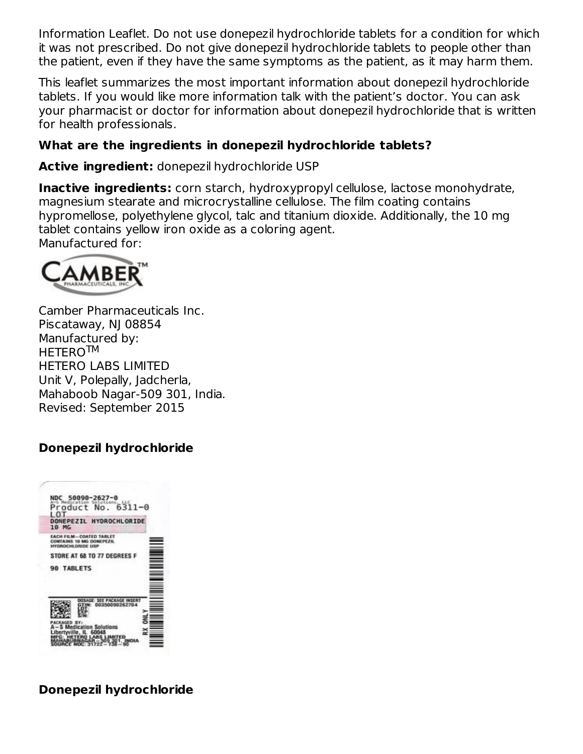Information Leaflet. Do not use donepezil hydrochloride tablets for a condition for which it was not prescribed. Do not give donepezil hydrochloride tablets to people other than the patient, even if they have the same symptoms as the patient, as it may harm them.

This leaflet summarizes the most important information about donepezil hydrochloride tablets. If you would like more information talk with the patient's doctor. You can ask your pharmacist or doctor for information about donepezil hydrochloride that is written for health professionals.

## **What are the ingredients in donepezil hydrochloride tablets?**

**Active ingredient:** donepezil hydrochloride USP

**Inactive ingredients:** corn starch, hydroxypropyl cellulose, lactose monohydrate, magnesium stearate and microcrystalline cellulose. The film coating contains hypromellose, polyethylene glycol, talc and titanium dioxide. Additionally, the 10 mg tablet contains yellow iron oxide as a coloring agent. Manufactured for:



Camber Pharmaceuticals Inc. Piscataway, NJ 08854 Manufactured by: HETERO™ HETERO LABS LIMITED Unit V, Polepally, Jadcherla, Mahaboob Nagar-509 301, India. Revised: September 2015

## **Donepezil hydrochloride**



## **Donepezil hydrochloride**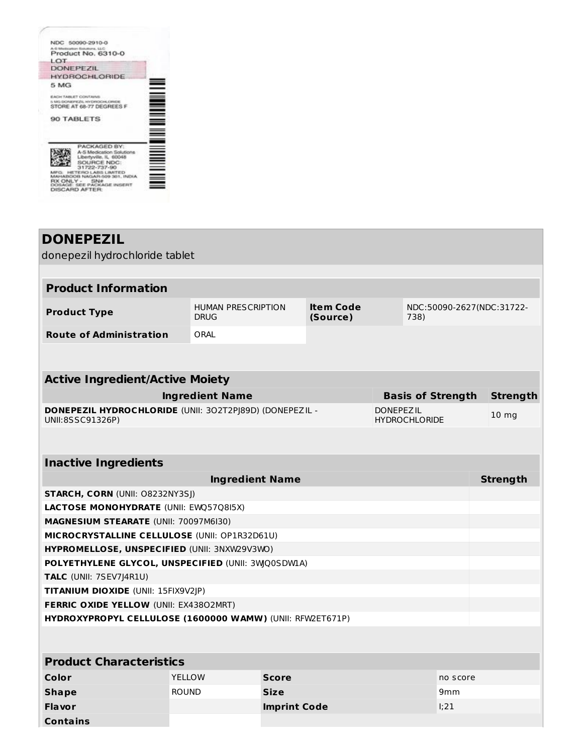

| <b>DONEPEZIL</b>                                                                                                        |                                           |                                                                   |  |                  |  |                          |                 |  |  |  |
|-------------------------------------------------------------------------------------------------------------------------|-------------------------------------------|-------------------------------------------------------------------|--|------------------|--|--------------------------|-----------------|--|--|--|
| donepezil hydrochloride tablet                                                                                          |                                           |                                                                   |  |                  |  |                          |                 |  |  |  |
|                                                                                                                         |                                           |                                                                   |  |                  |  |                          |                 |  |  |  |
| <b>Product Information</b>                                                                                              |                                           |                                                                   |  |                  |  |                          |                 |  |  |  |
| <b>Product Type</b>                                                                                                     | <b>HUMAN PRESCRIPTION</b><br><b>DRUG</b>  | <b>Item Code</b><br>NDC:50090-2627(NDC:31722-<br>(Source)<br>738) |  |                  |  |                          |                 |  |  |  |
| <b>Route of Administration</b>                                                                                          | ORAL                                      |                                                                   |  |                  |  |                          |                 |  |  |  |
|                                                                                                                         |                                           |                                                                   |  |                  |  |                          |                 |  |  |  |
| <b>Active Ingredient/Active Moiety</b>                                                                                  |                                           |                                                                   |  |                  |  |                          |                 |  |  |  |
|                                                                                                                         | <b>Ingredient Name</b>                    |                                                                   |  |                  |  | <b>Basis of Strength</b> | <b>Strength</b> |  |  |  |
| DONEPEZIL HYDROCHLORIDE (UNII: 302T2PJ89D) (DONEPEZIL -<br><b>DONEPEZIL</b><br>UNII:8SSC91326P)<br><b>HYDROCHLORIDE</b> |                                           |                                                                   |  | 10 <sub>mg</sub> |  |                          |                 |  |  |  |
|                                                                                                                         |                                           |                                                                   |  |                  |  |                          |                 |  |  |  |
| <b>Inactive Ingredients</b>                                                                                             |                                           |                                                                   |  |                  |  |                          |                 |  |  |  |
|                                                                                                                         | <b>Ingredient Name</b><br><b>Strength</b> |                                                                   |  |                  |  |                          |                 |  |  |  |
| <b>STARCH, CORN (UNII: O8232NY3SJ)</b>                                                                                  |                                           |                                                                   |  |                  |  |                          |                 |  |  |  |
| LACTOSE MONOHYDRATE (UNII: EWQ57Q8I5X)                                                                                  |                                           |                                                                   |  |                  |  |                          |                 |  |  |  |
| MAGNESIUM STEARATE (UNII: 70097M6I30)                                                                                   |                                           |                                                                   |  |                  |  |                          |                 |  |  |  |
| MICROCRYSTALLINE CELLULOSE (UNII: OP1R32D61U)                                                                           |                                           |                                                                   |  |                  |  |                          |                 |  |  |  |
| HYPROMELLOSE, UNSPECIFIED (UNII: 3NXW29V3WO)                                                                            |                                           |                                                                   |  |                  |  |                          |                 |  |  |  |
| POLYETHYLENE GLYCOL, UNSPECIFIED (UNII: 3WQ0SDW1A)                                                                      |                                           |                                                                   |  |                  |  |                          |                 |  |  |  |
| TALC (UNII: 7SEV7J4R1U)                                                                                                 |                                           |                                                                   |  |                  |  |                          |                 |  |  |  |
| TITANIUM DIOXIDE (UNII: 15FIX9V2JP)                                                                                     |                                           |                                                                   |  |                  |  |                          |                 |  |  |  |
| FERRIC OXIDE YELLOW (UNII: EX43802MRT)                                                                                  |                                           |                                                                   |  |                  |  |                          |                 |  |  |  |
| HYDROXYPROPYL CELLULOSE (1600000 WAMW) (UNII: RFW2ET671P)                                                               |                                           |                                                                   |  |                  |  |                          |                 |  |  |  |
|                                                                                                                         |                                           |                                                                   |  |                  |  |                          |                 |  |  |  |
| <b>Product Characteristics</b>                                                                                          |                                           |                                                                   |  |                  |  |                          |                 |  |  |  |
| Color                                                                                                                   | <b>YELLOW</b>                             | <b>Score</b>                                                      |  |                  |  | no score                 |                 |  |  |  |
| <b>Shape</b>                                                                                                            | <b>ROUND</b>                              | <b>Size</b>                                                       |  |                  |  | 9 <sub>mm</sub>          |                 |  |  |  |
| <b>Flavor</b>                                                                                                           |                                           | <b>Imprint Code</b>                                               |  |                  |  | 1;21                     |                 |  |  |  |
| <b>Contains</b>                                                                                                         |                                           |                                                                   |  |                  |  |                          |                 |  |  |  |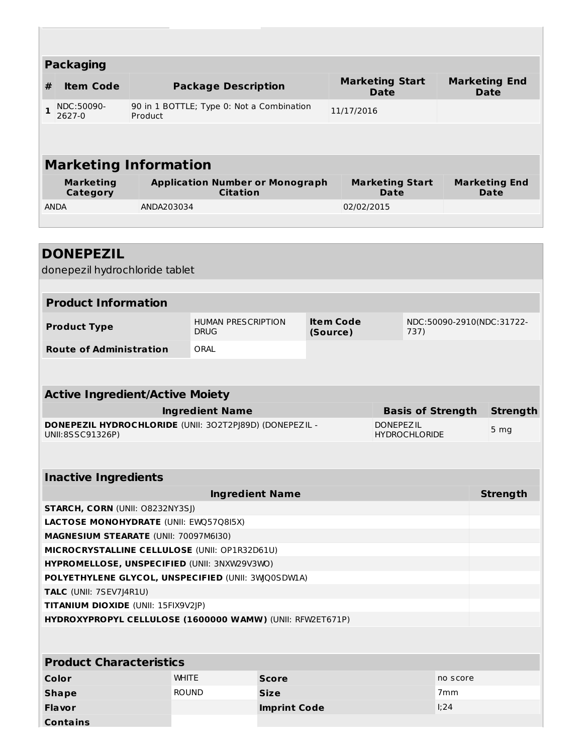| <b>Packaging</b><br><b>Item Code</b><br><b>Package Description</b><br>#<br>90 in 1 BOTTLE; Type 0: Not a Combination<br>NDC:50090-<br>1<br>2627-0<br>Product<br><b>Marketing Information</b><br><b>Marketing</b><br><b>Application Number or Monograph</b><br><b>Citation</b><br><b>Category</b><br><b>ANDA</b><br>ANDA203034<br><b>DONEPEZIL</b><br>donepezil hydrochloride tablet<br><b>Product Information</b><br><b>Item Code</b><br><b>HUMAN PRESCRIPTION</b><br><b>Product Type</b><br><b>DRUG</b><br>(Source)<br><b>Route of Administration</b><br>ORAL<br><b>Active Ingredient/Active Moiety</b><br><b>Ingredient Name</b><br>DONEPEZIL HYDROCHLORIDE (UNII: 302T2PJ89D) (DONEPEZIL - | <b>Marketing Start</b><br><b>Marketing End</b><br><b>Date</b><br><b>Date</b><br>11/17/2016<br><b>Marketing End</b><br><b>Marketing Start</b><br><b>Date</b><br>Date<br>02/02/2015<br>NDC:50090-2910(NDC:31722-<br>737) |  |  |  |  |  |  |
|-----------------------------------------------------------------------------------------------------------------------------------------------------------------------------------------------------------------------------------------------------------------------------------------------------------------------------------------------------------------------------------------------------------------------------------------------------------------------------------------------------------------------------------------------------------------------------------------------------------------------------------------------------------------------------------------------|------------------------------------------------------------------------------------------------------------------------------------------------------------------------------------------------------------------------|--|--|--|--|--|--|
|                                                                                                                                                                                                                                                                                                                                                                                                                                                                                                                                                                                                                                                                                               |                                                                                                                                                                                                                        |  |  |  |  |  |  |
|                                                                                                                                                                                                                                                                                                                                                                                                                                                                                                                                                                                                                                                                                               |                                                                                                                                                                                                                        |  |  |  |  |  |  |
|                                                                                                                                                                                                                                                                                                                                                                                                                                                                                                                                                                                                                                                                                               |                                                                                                                                                                                                                        |  |  |  |  |  |  |
|                                                                                                                                                                                                                                                                                                                                                                                                                                                                                                                                                                                                                                                                                               |                                                                                                                                                                                                                        |  |  |  |  |  |  |
|                                                                                                                                                                                                                                                                                                                                                                                                                                                                                                                                                                                                                                                                                               |                                                                                                                                                                                                                        |  |  |  |  |  |  |
|                                                                                                                                                                                                                                                                                                                                                                                                                                                                                                                                                                                                                                                                                               |                                                                                                                                                                                                                        |  |  |  |  |  |  |
|                                                                                                                                                                                                                                                                                                                                                                                                                                                                                                                                                                                                                                                                                               |                                                                                                                                                                                                                        |  |  |  |  |  |  |
|                                                                                                                                                                                                                                                                                                                                                                                                                                                                                                                                                                                                                                                                                               |                                                                                                                                                                                                                        |  |  |  |  |  |  |
|                                                                                                                                                                                                                                                                                                                                                                                                                                                                                                                                                                                                                                                                                               |                                                                                                                                                                                                                        |  |  |  |  |  |  |
|                                                                                                                                                                                                                                                                                                                                                                                                                                                                                                                                                                                                                                                                                               |                                                                                                                                                                                                                        |  |  |  |  |  |  |
|                                                                                                                                                                                                                                                                                                                                                                                                                                                                                                                                                                                                                                                                                               |                                                                                                                                                                                                                        |  |  |  |  |  |  |
|                                                                                                                                                                                                                                                                                                                                                                                                                                                                                                                                                                                                                                                                                               |                                                                                                                                                                                                                        |  |  |  |  |  |  |
|                                                                                                                                                                                                                                                                                                                                                                                                                                                                                                                                                                                                                                                                                               |                                                                                                                                                                                                                        |  |  |  |  |  |  |
|                                                                                                                                                                                                                                                                                                                                                                                                                                                                                                                                                                                                                                                                                               |                                                                                                                                                                                                                        |  |  |  |  |  |  |
|                                                                                                                                                                                                                                                                                                                                                                                                                                                                                                                                                                                                                                                                                               |                                                                                                                                                                                                                        |  |  |  |  |  |  |
|                                                                                                                                                                                                                                                                                                                                                                                                                                                                                                                                                                                                                                                                                               |                                                                                                                                                                                                                        |  |  |  |  |  |  |
|                                                                                                                                                                                                                                                                                                                                                                                                                                                                                                                                                                                                                                                                                               |                                                                                                                                                                                                                        |  |  |  |  |  |  |
|                                                                                                                                                                                                                                                                                                                                                                                                                                                                                                                                                                                                                                                                                               |                                                                                                                                                                                                                        |  |  |  |  |  |  |
|                                                                                                                                                                                                                                                                                                                                                                                                                                                                                                                                                                                                                                                                                               |                                                                                                                                                                                                                        |  |  |  |  |  |  |
|                                                                                                                                                                                                                                                                                                                                                                                                                                                                                                                                                                                                                                                                                               |                                                                                                                                                                                                                        |  |  |  |  |  |  |
|                                                                                                                                                                                                                                                                                                                                                                                                                                                                                                                                                                                                                                                                                               |                                                                                                                                                                                                                        |  |  |  |  |  |  |
|                                                                                                                                                                                                                                                                                                                                                                                                                                                                                                                                                                                                                                                                                               |                                                                                                                                                                                                                        |  |  |  |  |  |  |
|                                                                                                                                                                                                                                                                                                                                                                                                                                                                                                                                                                                                                                                                                               | <b>Basis of Strength</b><br><b>Strength</b>                                                                                                                                                                            |  |  |  |  |  |  |
|                                                                                                                                                                                                                                                                                                                                                                                                                                                                                                                                                                                                                                                                                               | <b>DONEPEZIL</b>                                                                                                                                                                                                       |  |  |  |  |  |  |
| UNII:8SSC91326P)                                                                                                                                                                                                                                                                                                                                                                                                                                                                                                                                                                                                                                                                              | 5 <sub>mg</sub><br><b>HYDROCHLORIDE</b>                                                                                                                                                                                |  |  |  |  |  |  |
|                                                                                                                                                                                                                                                                                                                                                                                                                                                                                                                                                                                                                                                                                               |                                                                                                                                                                                                                        |  |  |  |  |  |  |
|                                                                                                                                                                                                                                                                                                                                                                                                                                                                                                                                                                                                                                                                                               |                                                                                                                                                                                                                        |  |  |  |  |  |  |
| <b>Inactive Ingredients</b>                                                                                                                                                                                                                                                                                                                                                                                                                                                                                                                                                                                                                                                                   |                                                                                                                                                                                                                        |  |  |  |  |  |  |
| <b>Ingredient Name</b>                                                                                                                                                                                                                                                                                                                                                                                                                                                                                                                                                                                                                                                                        | <b>Strength</b>                                                                                                                                                                                                        |  |  |  |  |  |  |
| <b>STARCH, CORN (UNII: O8232NY3SJ)</b>                                                                                                                                                                                                                                                                                                                                                                                                                                                                                                                                                                                                                                                        |                                                                                                                                                                                                                        |  |  |  |  |  |  |
| LACTOSE MONOHYDRATE (UNII: EWQ57Q8I5X)<br><b>MAGNESIUM STEARATE (UNII: 70097M6I30)</b>                                                                                                                                                                                                                                                                                                                                                                                                                                                                                                                                                                                                        |                                                                                                                                                                                                                        |  |  |  |  |  |  |
| MICROCRYSTALLINE CELLULOSE (UNII: OP1R32D61U)                                                                                                                                                                                                                                                                                                                                                                                                                                                                                                                                                                                                                                                 |                                                                                                                                                                                                                        |  |  |  |  |  |  |
| HYPROMELLOSE, UNSPECIFIED (UNII: 3NXW29V3WO)                                                                                                                                                                                                                                                                                                                                                                                                                                                                                                                                                                                                                                                  |                                                                                                                                                                                                                        |  |  |  |  |  |  |
|                                                                                                                                                                                                                                                                                                                                                                                                                                                                                                                                                                                                                                                                                               |                                                                                                                                                                                                                        |  |  |  |  |  |  |
|                                                                                                                                                                                                                                                                                                                                                                                                                                                                                                                                                                                                                                                                                               |                                                                                                                                                                                                                        |  |  |  |  |  |  |
| TITANIUM DIOXIDE (UNII: 15FIX9V2JP)                                                                                                                                                                                                                                                                                                                                                                                                                                                                                                                                                                                                                                                           |                                                                                                                                                                                                                        |  |  |  |  |  |  |
| HYDROXYPROPYL CELLULOSE (1600000 WAMW) (UNII: RFW2ET671P)                                                                                                                                                                                                                                                                                                                                                                                                                                                                                                                                                                                                                                     |                                                                                                                                                                                                                        |  |  |  |  |  |  |
|                                                                                                                                                                                                                                                                                                                                                                                                                                                                                                                                                                                                                                                                                               |                                                                                                                                                                                                                        |  |  |  |  |  |  |
| <b>Product Characteristics</b>                                                                                                                                                                                                                                                                                                                                                                                                                                                                                                                                                                                                                                                                |                                                                                                                                                                                                                        |  |  |  |  |  |  |
| Color<br><b>WHITE</b>                                                                                                                                                                                                                                                                                                                                                                                                                                                                                                                                                                                                                                                                         |                                                                                                                                                                                                                        |  |  |  |  |  |  |
| <b>Score</b>                                                                                                                                                                                                                                                                                                                                                                                                                                                                                                                                                                                                                                                                                  |                                                                                                                                                                                                                        |  |  |  |  |  |  |
| <b>ROUND</b><br><b>Size</b><br><b>Shape</b>                                                                                                                                                                                                                                                                                                                                                                                                                                                                                                                                                                                                                                                   | no score<br>7 <sub>mm</sub>                                                                                                                                                                                            |  |  |  |  |  |  |
| POLYETHYLENE GLYCOL, UNSPECIFIED (UNII: 3WQ0SDWIA)<br>TALC (UNII: 7SEV7J4R1U)                                                                                                                                                                                                                                                                                                                                                                                                                                                                                                                                                                                                                 |                                                                                                                                                                                                                        |  |  |  |  |  |  |

**Contains**